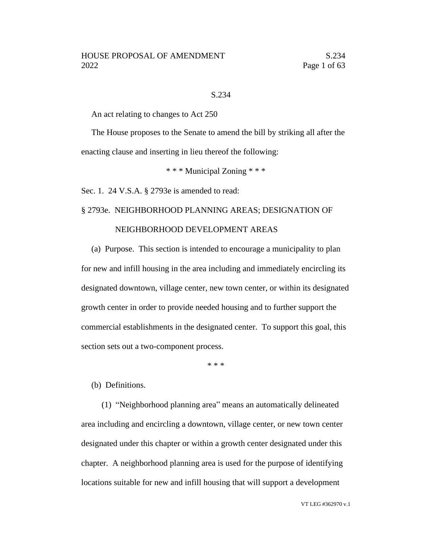#### S.234

An act relating to changes to Act 250

The House proposes to the Senate to amend the bill by striking all after the enacting clause and inserting in lieu thereof the following:

\* \* \* Municipal Zoning \* \* \*

Sec. 1. 24 V.S.A. § 2793e is amended to read:

## § 2793e. NEIGHBORHOOD PLANNING AREAS; DESIGNATION OF

# NEIGHBORHOOD DEVELOPMENT AREAS

(a) Purpose. This section is intended to encourage a municipality to plan for new and infill housing in the area including and immediately encircling its designated downtown, village center, new town center, or within its designated growth center in order to provide needed housing and to further support the commercial establishments in the designated center. To support this goal, this section sets out a two-component process.

\* \* \*

(b) Definitions.

(1) "Neighborhood planning area" means an automatically delineated area including and encircling a downtown, village center, or new town center designated under this chapter or within a growth center designated under this chapter. A neighborhood planning area is used for the purpose of identifying locations suitable for new and infill housing that will support a development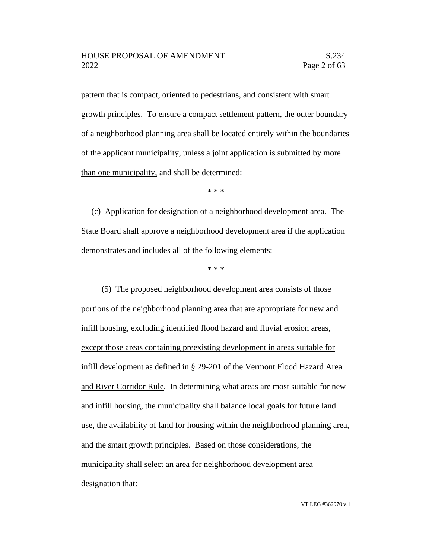pattern that is compact, oriented to pedestrians, and consistent with smart growth principles. To ensure a compact settlement pattern, the outer boundary of a neighborhood planning area shall be located entirely within the boundaries of the applicant municipality, unless a joint application is submitted by more than one municipality, and shall be determined:

\* \* \*

(c) Application for designation of a neighborhood development area. The State Board shall approve a neighborhood development area if the application demonstrates and includes all of the following elements:

\* \* \*

(5) The proposed neighborhood development area consists of those portions of the neighborhood planning area that are appropriate for new and infill housing, excluding identified flood hazard and fluvial erosion areas, except those areas containing preexisting development in areas suitable for infill development as defined in § 29-201 of the Vermont Flood Hazard Area and River Corridor Rule. In determining what areas are most suitable for new and infill housing, the municipality shall balance local goals for future land use, the availability of land for housing within the neighborhood planning area, and the smart growth principles. Based on those considerations, the municipality shall select an area for neighborhood development area designation that: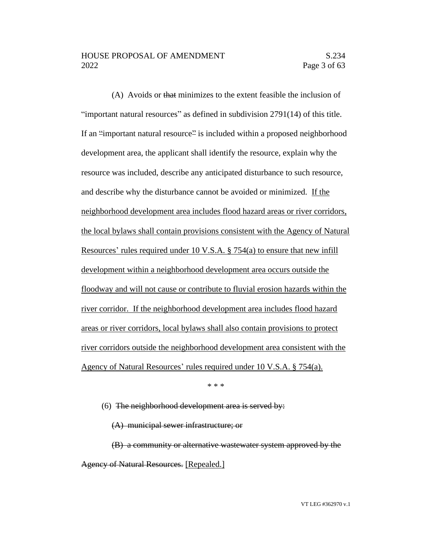(A) Avoids or that minimizes to the extent feasible the inclusion of "important natural resources" as defined in subdivision 2791(14) of this title. If an "important natural resource" is included within a proposed neighborhood development area, the applicant shall identify the resource, explain why the resource was included, describe any anticipated disturbance to such resource, and describe why the disturbance cannot be avoided or minimized. If the neighborhood development area includes flood hazard areas or river corridors, the local bylaws shall contain provisions consistent with the Agency of Natural Resources' rules required under 10 V.S.A. § 754(a) to ensure that new infill development within a neighborhood development area occurs outside the floodway and will not cause or contribute to fluvial erosion hazards within the river corridor. If the neighborhood development area includes flood hazard areas or river corridors, local bylaws shall also contain provisions to protect river corridors outside the neighborhood development area consistent with the Agency of Natural Resources' rules required under 10 V.S.A. § 754(a).

\* \* \*

# (6) The neighborhood development area is served by:

(A) municipal sewer infrastructure; or

(B) a community or alternative wastewater system approved by the Agency of Natural Resources. [Repealed.]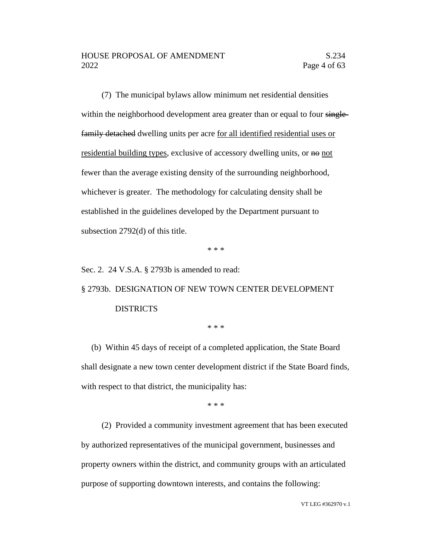(7) The municipal bylaws allow minimum net residential densities within the neighborhood development area greater than or equal to four singlefamily detached dwelling units per acre for all identified residential uses or residential building types, exclusive of accessory dwelling units, or no not fewer than the average existing density of the surrounding neighborhood, whichever is greater. The methodology for calculating density shall be established in the guidelines developed by the Department pursuant to subsection 2792(d) of this title.

\* \* \*

Sec. 2. 24 V.S.A. § 2793b is amended to read:

§ 2793b. DESIGNATION OF NEW TOWN CENTER DEVELOPMENT DISTRICTS

\* \* \*

(b) Within 45 days of receipt of a completed application, the State Board shall designate a new town center development district if the State Board finds, with respect to that district, the municipality has:

\* \* \*

(2) Provided a community investment agreement that has been executed by authorized representatives of the municipal government, businesses and property owners within the district, and community groups with an articulated purpose of supporting downtown interests, and contains the following: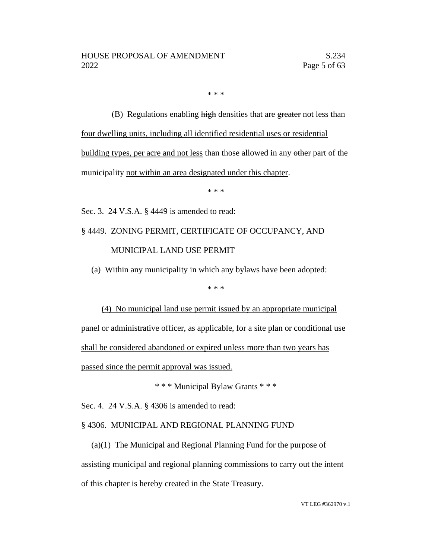\* \* \*

(B) Regulations enabling high densities that are greater not less than four dwelling units, including all identified residential uses or residential building types, per acre and not less than those allowed in any other part of the municipality not within an area designated under this chapter.

\* \* \*

Sec. 3. 24 V.S.A. § 4449 is amended to read:

§ 4449. ZONING PERMIT, CERTIFICATE OF OCCUPANCY, AND MUNICIPAL LAND USE PERMIT

(a) Within any municipality in which any bylaws have been adopted:

\* \* \*

(4) No municipal land use permit issued by an appropriate municipal panel or administrative officer, as applicable, for a site plan or conditional use shall be considered abandoned or expired unless more than two years has passed since the permit approval was issued.

\* \* \* Municipal Bylaw Grants \* \* \*

Sec. 4. 24 V.S.A. § 4306 is amended to read:

# § 4306. MUNICIPAL AND REGIONAL PLANNING FUND

(a)(1) The Municipal and Regional Planning Fund for the purpose of assisting municipal and regional planning commissions to carry out the intent of this chapter is hereby created in the State Treasury.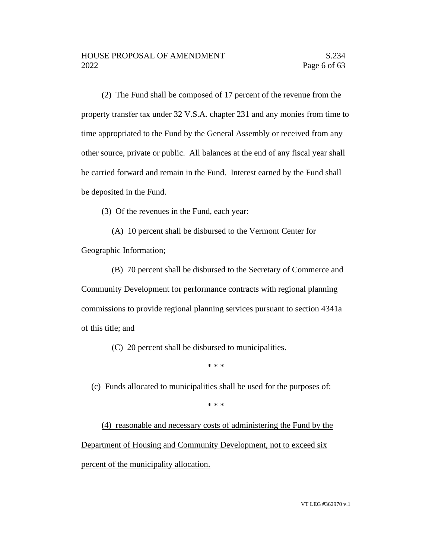(2) The Fund shall be composed of 17 percent of the revenue from the property transfer tax under 32 V.S.A. chapter 231 and any monies from time to time appropriated to the Fund by the General Assembly or received from any other source, private or public. All balances at the end of any fiscal year shall be carried forward and remain in the Fund. Interest earned by the Fund shall be deposited in the Fund.

(3) Of the revenues in the Fund, each year:

(A) 10 percent shall be disbursed to the Vermont Center for Geographic Information;

(B) 70 percent shall be disbursed to the Secretary of Commerce and Community Development for performance contracts with regional planning commissions to provide regional planning services pursuant to section 4341a of this title; and

(C) 20 percent shall be disbursed to municipalities.

\* \* \*

(c) Funds allocated to municipalities shall be used for the purposes of:

\* \* \*

(4) reasonable and necessary costs of administering the Fund by the Department of Housing and Community Development, not to exceed six percent of the municipality allocation.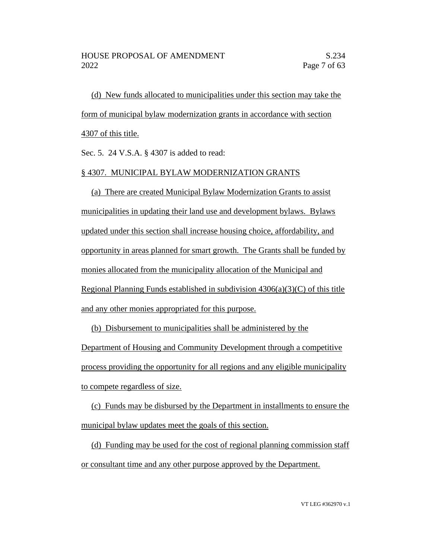(d) New funds allocated to municipalities under this section may take the form of municipal bylaw modernization grants in accordance with section 4307 of this title.

Sec. 5. 24 V.S.A. § 4307 is added to read:

# § 4307. MUNICIPAL BYLAW MODERNIZATION GRANTS

(a) There are created Municipal Bylaw Modernization Grants to assist municipalities in updating their land use and development bylaws. Bylaws updated under this section shall increase housing choice, affordability, and opportunity in areas planned for smart growth. The Grants shall be funded by monies allocated from the municipality allocation of the Municipal and Regional Planning Funds established in subdivision  $4306(a)(3)(C)$  of this title and any other monies appropriated for this purpose.

(b) Disbursement to municipalities shall be administered by the Department of Housing and Community Development through a competitive process providing the opportunity for all regions and any eligible municipality to compete regardless of size.

(c) Funds may be disbursed by the Department in installments to ensure the municipal bylaw updates meet the goals of this section.

(d) Funding may be used for the cost of regional planning commission staff or consultant time and any other purpose approved by the Department.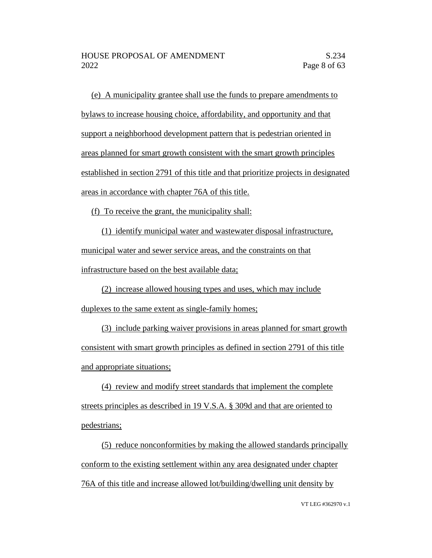(e) A municipality grantee shall use the funds to prepare amendments to bylaws to increase housing choice, affordability, and opportunity and that support a neighborhood development pattern that is pedestrian oriented in areas planned for smart growth consistent with the smart growth principles established in section 2791 of this title and that prioritize projects in designated areas in accordance with chapter 76A of this title.

(f) To receive the grant, the municipality shall:

(1) identify municipal water and wastewater disposal infrastructure, municipal water and sewer service areas, and the constraints on that infrastructure based on the best available data;

(2) increase allowed housing types and uses, which may include duplexes to the same extent as single-family homes;

(3) include parking waiver provisions in areas planned for smart growth consistent with smart growth principles as defined in section 2791 of this title and appropriate situations;

(4) review and modify street standards that implement the complete streets principles as described in 19 V.S.A. § 309d and that are oriented to pedestrians;

(5) reduce nonconformities by making the allowed standards principally conform to the existing settlement within any area designated under chapter 76A of this title and increase allowed lot/building/dwelling unit density by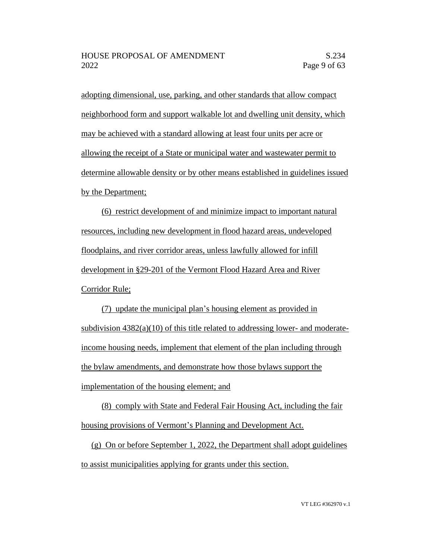adopting dimensional, use, parking, and other standards that allow compact neighborhood form and support walkable lot and dwelling unit density, which may be achieved with a standard allowing at least four units per acre or allowing the receipt of a State or municipal water and wastewater permit to determine allowable density or by other means established in guidelines issued by the Department;

(6) restrict development of and minimize impact to important natural resources, including new development in flood hazard areas, undeveloped floodplains, and river corridor areas, unless lawfully allowed for infill development in §29-201 of the Vermont Flood Hazard Area and River Corridor Rule;

(7) update the municipal plan's housing element as provided in subdivision  $4382(a)(10)$  of this title related to addressing lower- and moderateincome housing needs, implement that element of the plan including through the bylaw amendments, and demonstrate how those bylaws support the implementation of the housing element; and

(8) comply with State and Federal Fair Housing Act, including the fair housing provisions of Vermont's Planning and Development Act.

(g) On or before September 1, 2022, the Department shall adopt guidelines to assist municipalities applying for grants under this section.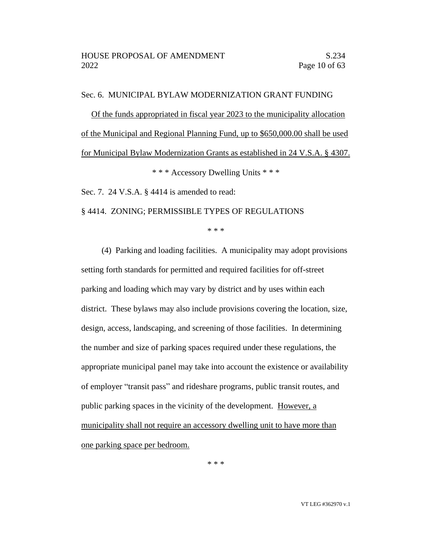#### Sec. 6. MUNICIPAL BYLAW MODERNIZATION GRANT FUNDING

Of the funds appropriated in fiscal year 2023 to the municipality allocation of the Municipal and Regional Planning Fund, up to \$650,000.00 shall be used for Municipal Bylaw Modernization Grants as established in 24 V.S.A. § 4307.

\* \* \* Accessory Dwelling Units \* \* \*

Sec. 7. 24 V.S.A. § 4414 is amended to read:

§ 4414. ZONING; PERMISSIBLE TYPES OF REGULATIONS

\* \* \*

(4) Parking and loading facilities. A municipality may adopt provisions setting forth standards for permitted and required facilities for off-street parking and loading which may vary by district and by uses within each district. These bylaws may also include provisions covering the location, size, design, access, landscaping, and screening of those facilities. In determining the number and size of parking spaces required under these regulations, the appropriate municipal panel may take into account the existence or availability of employer "transit pass" and rideshare programs, public transit routes, and public parking spaces in the vicinity of the development. However, a municipality shall not require an accessory dwelling unit to have more than one parking space per bedroom.

\* \* \*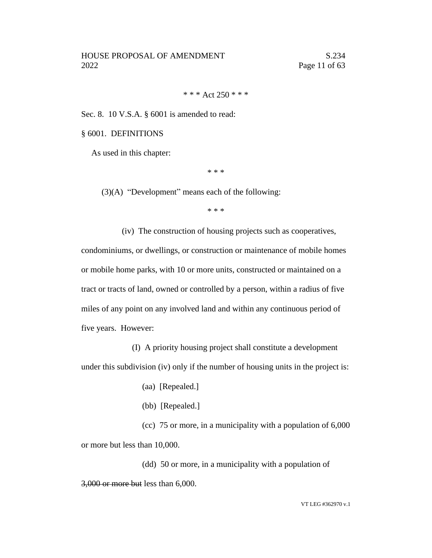\* \* \* Act  $250$  \* \* \*

Sec. 8. 10 V.S.A. § 6001 is amended to read:

§ 6001. DEFINITIONS

As used in this chapter:

\* \* \*

(3)(A) "Development" means each of the following:

\* \* \*

(iv) The construction of housing projects such as cooperatives, condominiums, or dwellings, or construction or maintenance of mobile homes or mobile home parks, with 10 or more units, constructed or maintained on a tract or tracts of land, owned or controlled by a person, within a radius of five miles of any point on any involved land and within any continuous period of five years. However:

(I) A priority housing project shall constitute a development under this subdivision (iv) only if the number of housing units in the project is:

- (aa) [Repealed.]
- (bb) [Repealed.]

(cc) 75 or more, in a municipality with a population of 6,000 or more but less than 10,000.

(dd) 50 or more, in a municipality with a population of 3,000 or more but less than 6,000.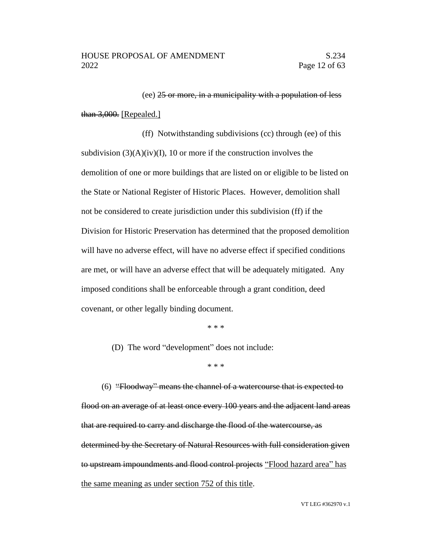(ee) 25 or more, in a municipality with a population of less than 3,000. [Repealed.]

(ff) Notwithstanding subdivisions (cc) through (ee) of this subdivision  $(3)(A)(iv)(I)$ , 10 or more if the construction involves the demolition of one or more buildings that are listed on or eligible to be listed on the State or National Register of Historic Places. However, demolition shall not be considered to create jurisdiction under this subdivision (ff) if the Division for Historic Preservation has determined that the proposed demolition will have no adverse effect, will have no adverse effect if specified conditions are met, or will have an adverse effect that will be adequately mitigated. Any imposed conditions shall be enforceable through a grant condition, deed covenant, or other legally binding document.

\* \* \*

(D) The word "development" does not include:

\* \* \*

(6) "Floodway" means the channel of a watercourse that is expected to flood on an average of at least once every 100 years and the adjacent land areas that are required to carry and discharge the flood of the watercourse, as determined by the Secretary of Natural Resources with full consideration given to upstream impoundments and flood control projects "Flood hazard area" has the same meaning as under section 752 of this title.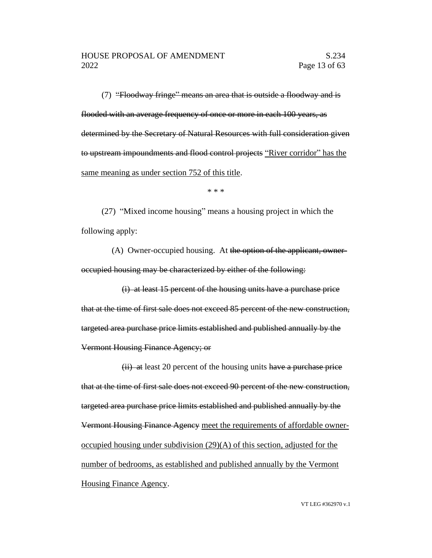(7) "Floodway fringe" means an area that is outside a floodway and is flooded with an average frequency of once or more in each 100 years, as determined by the Secretary of Natural Resources with full consideration given to upstream impoundments and flood control projects "River corridor" has the same meaning as under section 752 of this title.

\* \* \*

(27) "Mixed income housing" means a housing project in which the following apply:

(A) Owner-occupied housing. At the option of the applicant, owneroccupied housing may be characterized by either of the following:

(i) at least 15 percent of the housing units have a purchase price that at the time of first sale does not exceed 85 percent of the new construction, targeted area purchase price limits established and published annually by the Vermont Housing Finance Agency; or

 $(ii)$  at least 20 percent of the housing units have a purchase price that at the time of first sale does not exceed 90 percent of the new construction, targeted area purchase price limits established and published annually by the Vermont Housing Finance Agency meet the requirements of affordable owneroccupied housing under subdivision (29)(A) of this section, adjusted for the number of bedrooms, as established and published annually by the Vermont Housing Finance Agency.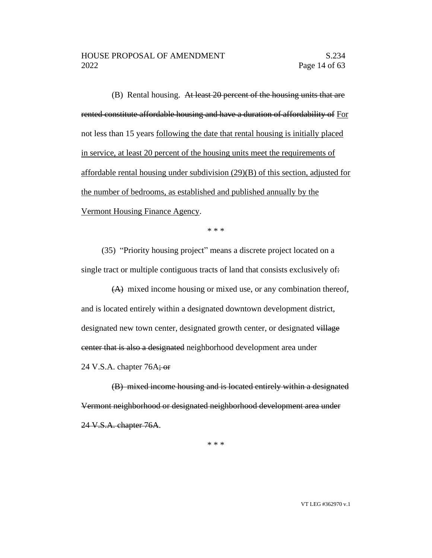(B) Rental housing. At least 20 percent of the housing units that are rented constitute affordable housing and have a duration of affordability of For not less than 15 years following the date that rental housing is initially placed in service, at least 20 percent of the housing units meet the requirements of affordable rental housing under subdivision (29)(B) of this section, adjusted for the number of bedrooms, as established and published annually by the Vermont Housing Finance Agency.

\* \* \*

(35) "Priority housing project" means a discrete project located on a single tract or multiple contiguous tracts of land that consists exclusively of:

(A) mixed income housing or mixed use, or any combination thereof, and is located entirely within a designated downtown development district, designated new town center, designated growth center, or designated village center that is also a designated neighborhood development area under 24 V.S.A. chapter  $76A$ ; or

(B) mixed income housing and is located entirely within a designated Vermont neighborhood or designated neighborhood development area under 24 V.S.A. chapter 76A.

\* \* \*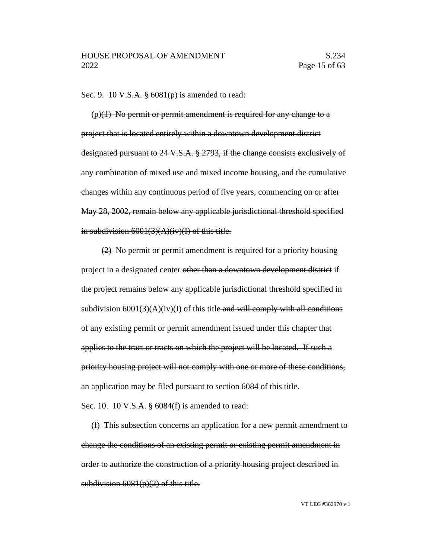Sec. 9. 10 V.S.A. § 6081(p) is amended to read:

 $(p)(1)$  No permit or permit amendment is required for any change to a project that is located entirely within a downtown development district designated pursuant to 24 V.S.A. § 2793, if the change consists exclusively of any combination of mixed use and mixed income housing, and the cumulative changes within any continuous period of five years, commencing on or after May 28, 2002, remain below any applicable jurisdictional threshold specified in subdivision  $6001(3)(A)(iv)(I)$  of this title.

(2) No permit or permit amendment is required for a priority housing project in a designated center other than a downtown development district if the project remains below any applicable jurisdictional threshold specified in subdivision  $6001(3)(A)(iv)(I)$  of this title and will comply with all conditions of any existing permit or permit amendment issued under this chapter that applies to the tract or tracts on which the project will be located. If such a priority housing project will not comply with one or more of these conditions, an application may be filed pursuant to section 6084 of this title. Sec. 10. 10 V.S.A. § 6084(f) is amended to read:

(f) This subsection concerns an application for a new permit amendment to change the conditions of an existing permit or existing permit amendment in order to authorize the construction of a priority housing project described in subdivision  $6081(p)(2)$  of this title.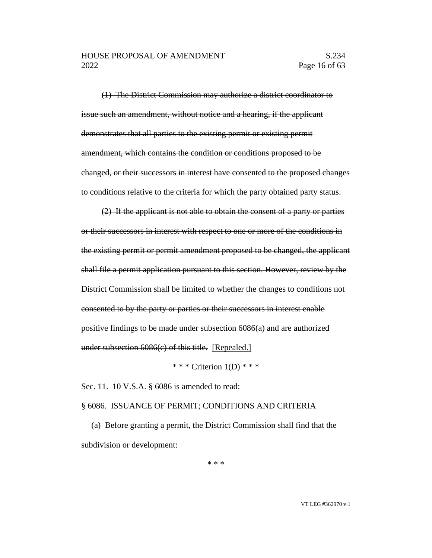(1) The District Commission may authorize a district coordinator to issue such an amendment, without notice and a hearing, if the applicant demonstrates that all parties to the existing permit or existing permit amendment, which contains the condition or conditions proposed to be changed, or their successors in interest have consented to the proposed changes to conditions relative to the criteria for which the party obtained party status.

(2) If the applicant is not able to obtain the consent of a party or parties or their successors in interest with respect to one or more of the conditions in the existing permit or permit amendment proposed to be changed, the applicant shall file a permit application pursuant to this section. However, review by the District Commission shall be limited to whether the changes to conditions not consented to by the party or parties or their successors in interest enable positive findings to be made under subsection 6086(a) and are authorized under subsection 6086(c) of this title. [Repealed.]

\* \* \* Criterion  $1(D)$  \* \* \*

Sec. 11. 10 V.S.A. § 6086 is amended to read:

#### § 6086. ISSUANCE OF PERMIT; CONDITIONS AND CRITERIA

(a) Before granting a permit, the District Commission shall find that the subdivision or development:

\* \* \*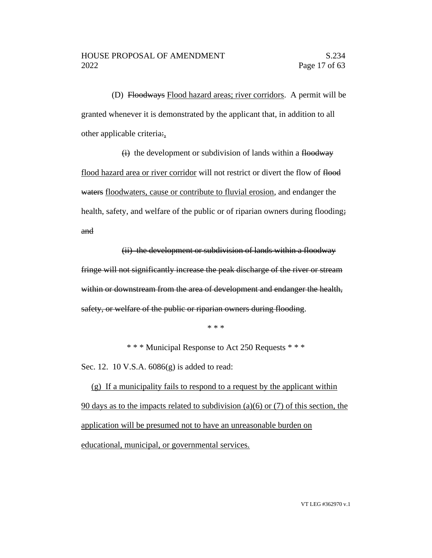(D) Floodways Flood hazard areas; river corridors. A permit will be granted whenever it is demonstrated by the applicant that, in addition to all other applicable criteria:,

 $\overrightarrow{H}$  the development or subdivision of lands within a floodway flood hazard area or river corridor will not restrict or divert the flow of flood waters floodwaters, cause or contribute to fluvial erosion, and endanger the health, safety, and welfare of the public or of riparian owners during flooding; and

(ii) the development or subdivision of lands within a floodway fringe will not significantly increase the peak discharge of the river or stream within or downstream from the area of development and endanger the health, safety, or welfare of the public or riparian owners during flooding.

\* \* \*

\* \* \* Municipal Response to Act 250 Requests \* \* \*

Sec. 12. 10 V.S.A. 6086(g) is added to read:

(g) If a municipality fails to respond to a request by the applicant within 90 days as to the impacts related to subdivision (a)(6) or (7) of this section, the application will be presumed not to have an unreasonable burden on educational, municipal, or governmental services.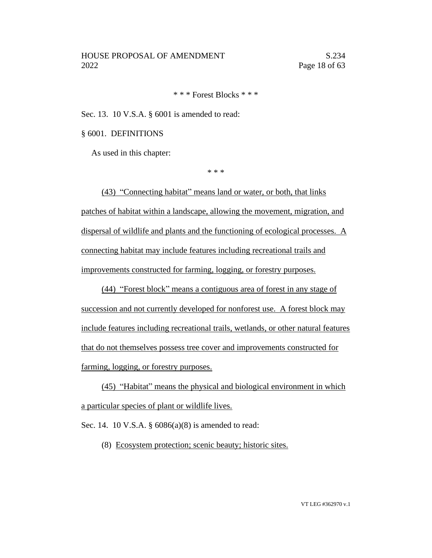\* \* \* Forest Blocks \* \* \*

Sec. 13. 10 V.S.A. § 6001 is amended to read:

§ 6001. DEFINITIONS

As used in this chapter:

\* \* \*

(43) "Connecting habitat" means land or water, or both, that links patches of habitat within a landscape, allowing the movement, migration, and dispersal of wildlife and plants and the functioning of ecological processes. A connecting habitat may include features including recreational trails and improvements constructed for farming, logging, or forestry purposes.

(44) "Forest block" means a contiguous area of forest in any stage of succession and not currently developed for nonforest use. A forest block may include features including recreational trails, wetlands, or other natural features that do not themselves possess tree cover and improvements constructed for farming, logging, or forestry purposes.

(45) "Habitat" means the physical and biological environment in which a particular species of plant or wildlife lives.

Sec. 14. 10 V.S.A. § 6086(a)(8) is amended to read:

(8) Ecosystem protection; scenic beauty; historic sites.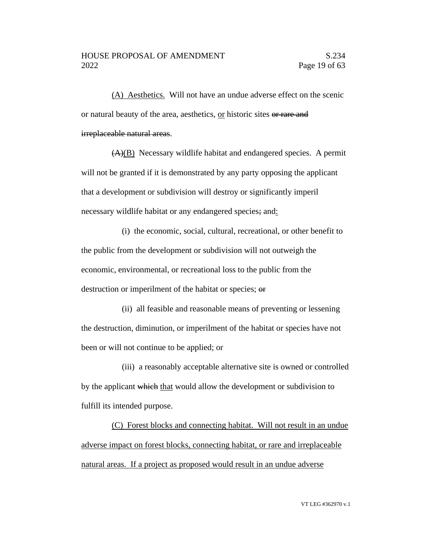(A) Aesthetics. Will not have an undue adverse effect on the scenic or natural beauty of the area, aesthetics, or historic sites or rare and irreplaceable natural areas.

 $(A)(B)$  Necessary wildlife habitat and endangered species. A permit will not be granted if it is demonstrated by any party opposing the applicant that a development or subdivision will destroy or significantly imperil necessary wildlife habitat or any endangered species; and:

(i) the economic, social, cultural, recreational, or other benefit to the public from the development or subdivision will not outweigh the economic, environmental, or recreational loss to the public from the destruction or imperilment of the habitat or species; or

(ii) all feasible and reasonable means of preventing or lessening the destruction, diminution, or imperilment of the habitat or species have not been or will not continue to be applied; or

(iii) a reasonably acceptable alternative site is owned or controlled by the applicant which that would allow the development or subdivision to fulfill its intended purpose.

(C) Forest blocks and connecting habitat. Will not result in an undue adverse impact on forest blocks, connecting habitat, or rare and irreplaceable natural areas. If a project as proposed would result in an undue adverse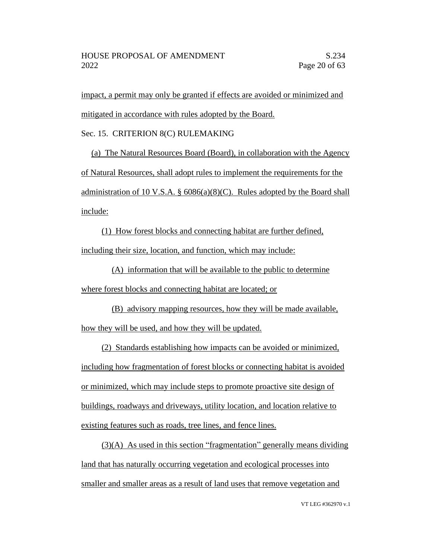impact, a permit may only be granted if effects are avoided or minimized and mitigated in accordance with rules adopted by the Board.

Sec. 15. CRITERION 8(C) RULEMAKING

(a) The Natural Resources Board (Board), in collaboration with the Agency of Natural Resources, shall adopt rules to implement the requirements for the administration of 10 V.S.A.  $\S$  6086(a)(8)(C). Rules adopted by the Board shall include:

(1) How forest blocks and connecting habitat are further defined, including their size, location, and function, which may include:

(A) information that will be available to the public to determine where forest blocks and connecting habitat are located; or

(B) advisory mapping resources, how they will be made available, how they will be used, and how they will be updated.

(2) Standards establishing how impacts can be avoided or minimized, including how fragmentation of forest blocks or connecting habitat is avoided or minimized, which may include steps to promote proactive site design of buildings, roadways and driveways, utility location, and location relative to existing features such as roads, tree lines, and fence lines.

 $(3)(A)$  As used in this section "fragmentation" generally means dividing land that has naturally occurring vegetation and ecological processes into smaller and smaller areas as a result of land uses that remove vegetation and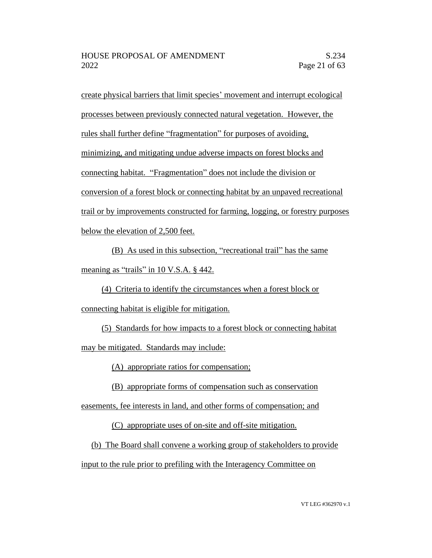create physical barriers that limit species' movement and interrupt ecological

processes between previously connected natural vegetation. However, the

rules shall further define "fragmentation" for purposes of avoiding,

minimizing, and mitigating undue adverse impacts on forest blocks and

connecting habitat. "Fragmentation" does not include the division or

conversion of a forest block or connecting habitat by an unpaved recreational

trail or by improvements constructed for farming, logging, or forestry purposes

below the elevation of 2,500 feet.

(B) As used in this subsection, "recreational trail" has the same meaning as "trails" in 10 V.S.A. § 442.

(4) Criteria to identify the circumstances when a forest block or connecting habitat is eligible for mitigation.

(5) Standards for how impacts to a forest block or connecting habitat may be mitigated. Standards may include:

(A) appropriate ratios for compensation;

(B) appropriate forms of compensation such as conservation

easements, fee interests in land, and other forms of compensation; and

(C) appropriate uses of on-site and off-site mitigation.

(b) The Board shall convene a working group of stakeholders to provide

input to the rule prior to prefiling with the Interagency Committee on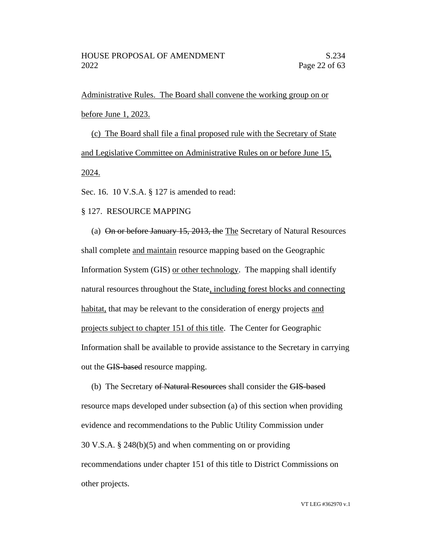Administrative Rules. The Board shall convene the working group on or before June 1, 2023.

(c) The Board shall file a final proposed rule with the Secretary of State and Legislative Committee on Administrative Rules on or before June 15, 2024.

Sec. 16. 10 V.S.A. § 127 is amended to read:

# § 127. RESOURCE MAPPING

(a) On or before January 15, 2013, the The Secretary of Natural Resources shall complete and maintain resource mapping based on the Geographic Information System (GIS) or other technology. The mapping shall identify natural resources throughout the State, including forest blocks and connecting habitat, that may be relevant to the consideration of energy projects and projects subject to chapter 151 of this title. The Center for Geographic Information shall be available to provide assistance to the Secretary in carrying out the GIS-based resource mapping.

(b) The Secretary of Natural Resources shall consider the GIS-based resource maps developed under subsection (a) of this section when providing evidence and recommendations to the Public Utility Commission under 30 V.S.A. § 248(b)(5) and when commenting on or providing recommendations under chapter 151 of this title to District Commissions on other projects.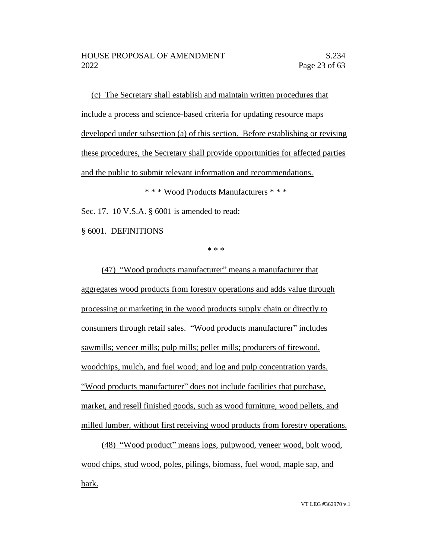(c) The Secretary shall establish and maintain written procedures that include a process and science-based criteria for updating resource maps developed under subsection (a) of this section. Before establishing or revising these procedures, the Secretary shall provide opportunities for affected parties and the public to submit relevant information and recommendations.

\* \* \* Wood Products Manufacturers \* \* \*

Sec. 17. 10 V.S.A. § 6001 is amended to read:

§ 6001. DEFINITIONS

\* \* \*

(47) "Wood products manufacturer" means a manufacturer that aggregates wood products from forestry operations and adds value through processing or marketing in the wood products supply chain or directly to consumers through retail sales. "Wood products manufacturer" includes sawmills; veneer mills; pulp mills; pellet mills; producers of firewood, woodchips, mulch, and fuel wood; and log and pulp concentration yards. "Wood products manufacturer" does not include facilities that purchase, market, and resell finished goods, such as wood furniture, wood pellets, and milled lumber, without first receiving wood products from forestry operations.

(48) "Wood product" means logs, pulpwood, veneer wood, bolt wood, wood chips, stud wood, poles, pilings, biomass, fuel wood, maple sap, and bark.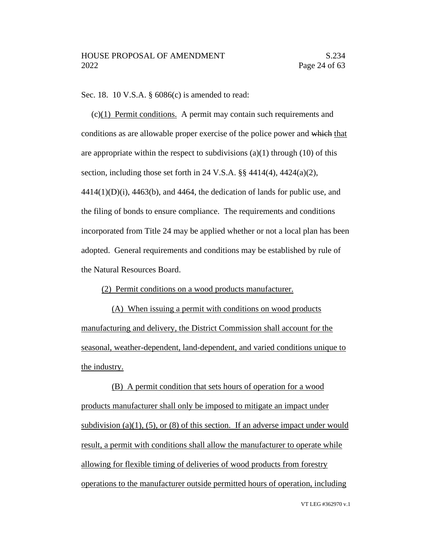Sec. 18. 10 V.S.A. § 6086(c) is amended to read:

(c)(1) Permit conditions. A permit may contain such requirements and conditions as are allowable proper exercise of the police power and which that are appropriate within the respect to subdivisions  $(a)(1)$  through  $(10)$  of this section, including those set forth in 24 V.S.A.  $\S$  $\frac{1}{2}$  4414(4), 4424(a)(2),  $4414(1)(D)(i)$ ,  $4463(6)$ , and  $4464$ , the dedication of lands for public use, and the filing of bonds to ensure compliance. The requirements and conditions incorporated from Title 24 may be applied whether or not a local plan has been adopted. General requirements and conditions may be established by rule of the Natural Resources Board.

(2) Permit conditions on a wood products manufacturer.

(A) When issuing a permit with conditions on wood products manufacturing and delivery, the District Commission shall account for the seasonal, weather-dependent, land-dependent, and varied conditions unique to the industry.

(B) A permit condition that sets hours of operation for a wood products manufacturer shall only be imposed to mitigate an impact under subdivision (a)(1), (5), or (8) of this section. If an adverse impact under would result, a permit with conditions shall allow the manufacturer to operate while allowing for flexible timing of deliveries of wood products from forestry operations to the manufacturer outside permitted hours of operation, including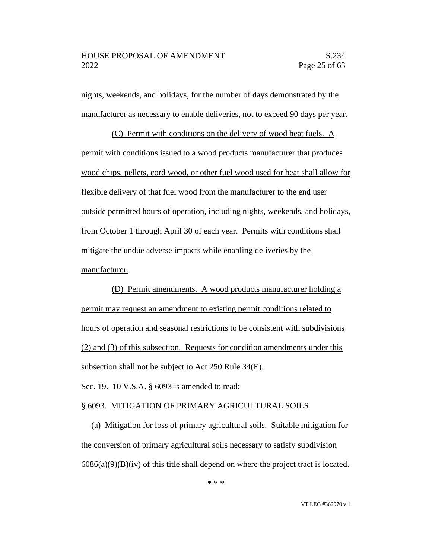nights, weekends, and holidays, for the number of days demonstrated by the manufacturer as necessary to enable deliveries, not to exceed 90 days per year.

(C) Permit with conditions on the delivery of wood heat fuels. A permit with conditions issued to a wood products manufacturer that produces wood chips, pellets, cord wood, or other fuel wood used for heat shall allow for flexible delivery of that fuel wood from the manufacturer to the end user outside permitted hours of operation, including nights, weekends, and holidays, from October 1 through April 30 of each year. Permits with conditions shall mitigate the undue adverse impacts while enabling deliveries by the manufacturer.

(D) Permit amendments. A wood products manufacturer holding a permit may request an amendment to existing permit conditions related to hours of operation and seasonal restrictions to be consistent with subdivisions (2) and (3) of this subsection. Requests for condition amendments under this subsection shall not be subject to Act 250 Rule 34(E).

Sec. 19. 10 V.S.A. § 6093 is amended to read:

### § 6093. MITIGATION OF PRIMARY AGRICULTURAL SOILS

(a) Mitigation for loss of primary agricultural soils. Suitable mitigation for the conversion of primary agricultural soils necessary to satisfy subdivision  $6086(a)(9)(B)(iv)$  of this title shall depend on where the project tract is located.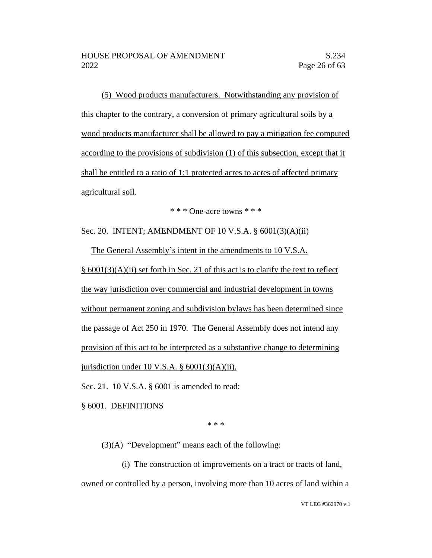(5) Wood products manufacturers. Notwithstanding any provision of this chapter to the contrary, a conversion of primary agricultural soils by a wood products manufacturer shall be allowed to pay a mitigation fee computed according to the provisions of subdivision (1) of this subsection, except that it shall be entitled to a ratio of 1:1 protected acres to acres of affected primary agricultural soil.

\* \* \* One-acre towns \* \* \*

Sec. 20. INTENT; AMENDMENT OF 10 V.S.A. § 6001(3)(A)(ii)

The General Assembly's intent in the amendments to 10 V.S.A.

§ 6001(3)(A)(ii) set forth in Sec. 21 of this act is to clarify the text to reflect the way jurisdiction over commercial and industrial development in towns without permanent zoning and subdivision bylaws has been determined since the passage of Act 250 in 1970. The General Assembly does not intend any provision of this act to be interpreted as a substantive change to determining jurisdiction under 10 V.S.A.  $\S$  6001(3)(A)(ii).

Sec. 21. 10 V.S.A. § 6001 is amended to read:

§ 6001. DEFINITIONS

\* \* \*

(3)(A) "Development" means each of the following:

(i) The construction of improvements on a tract or tracts of land, owned or controlled by a person, involving more than 10 acres of land within a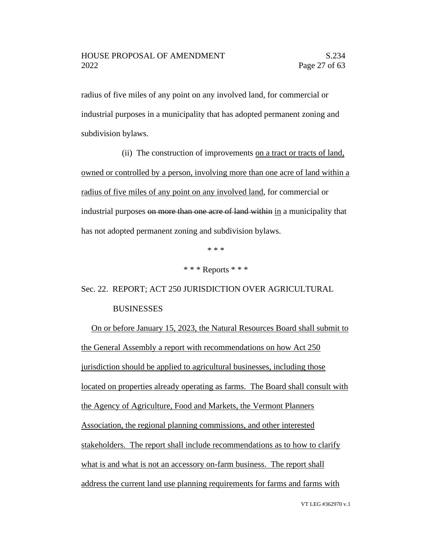radius of five miles of any point on any involved land, for commercial or industrial purposes in a municipality that has adopted permanent zoning and subdivision bylaws.

(ii) The construction of improvements on a tract or tracts of land, owned or controlled by a person, involving more than one acre of land within a radius of five miles of any point on any involved land, for commercial or industrial purposes on more than one acre of land within in a municipality that has not adopted permanent zoning and subdivision bylaws.

> \* \* \* \* \* \* Reports \* \* \*

# Sec. 22. REPORT; ACT 250 JURISDICTION OVER AGRICULTURAL **BUSINESSES**

On or before January 15, 2023, the Natural Resources Board shall submit to the General Assembly a report with recommendations on how Act 250 jurisdiction should be applied to agricultural businesses, including those located on properties already operating as farms. The Board shall consult with the Agency of Agriculture, Food and Markets, the Vermont Planners Association, the regional planning commissions, and other interested stakeholders. The report shall include recommendations as to how to clarify what is and what is not an accessory on-farm business. The report shall address the current land use planning requirements for farms and farms with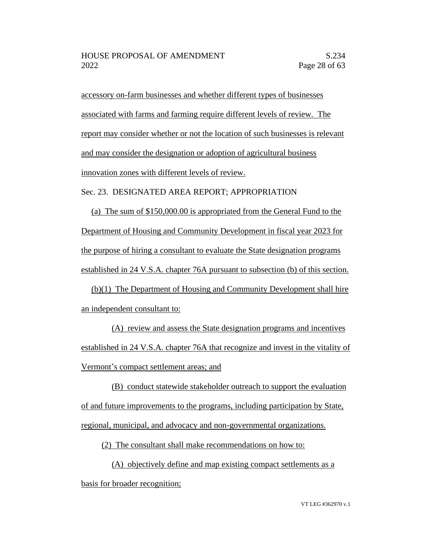accessory on-farm businesses and whether different types of businesses associated with farms and farming require different levels of review. The report may consider whether or not the location of such businesses is relevant and may consider the designation or adoption of agricultural business innovation zones with different levels of review.

Sec. 23. DESIGNATED AREA REPORT; APPROPRIATION

(a) The sum of \$150,000.00 is appropriated from the General Fund to the Department of Housing and Community Development in fiscal year 2023 for the purpose of hiring a consultant to evaluate the State designation programs established in 24 V.S.A. chapter 76A pursuant to subsection (b) of this section.

(b)(1) The Department of Housing and Community Development shall hire an independent consultant to:

(A) review and assess the State designation programs and incentives established in 24 V.S.A. chapter 76A that recognize and invest in the vitality of Vermont's compact settlement areas; and

(B) conduct statewide stakeholder outreach to support the evaluation of and future improvements to the programs, including participation by State, regional, municipal, and advocacy and non-governmental organizations.

(2) The consultant shall make recommendations on how to:

(A) objectively define and map existing compact settlements as a basis for broader recognition;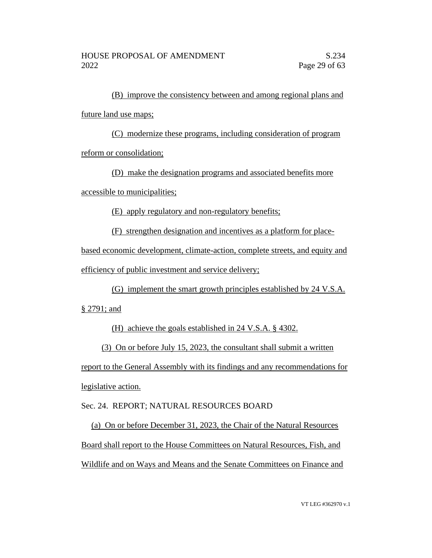(B) improve the consistency between and among regional plans and future land use maps;

(C) modernize these programs, including consideration of program reform or consolidation;

(D) make the designation programs and associated benefits more

accessible to municipalities;

(E) apply regulatory and non-regulatory benefits;

(F) strengthen designation and incentives as a platform for place-

based economic development, climate-action, complete streets, and equity and efficiency of public investment and service delivery;

(G) implement the smart growth principles established by 24 V.S.A.

§ 2791; and

(H) achieve the goals established in 24 V.S.A. § 4302.

(3) On or before July 15, 2023, the consultant shall submit a written report to the General Assembly with its findings and any recommendations for legislative action.

Sec. 24. REPORT; NATURAL RESOURCES BOARD

(a) On or before December 31, 2023, the Chair of the Natural Resources Board shall report to the House Committees on Natural Resources, Fish, and Wildlife and on Ways and Means and the Senate Committees on Finance and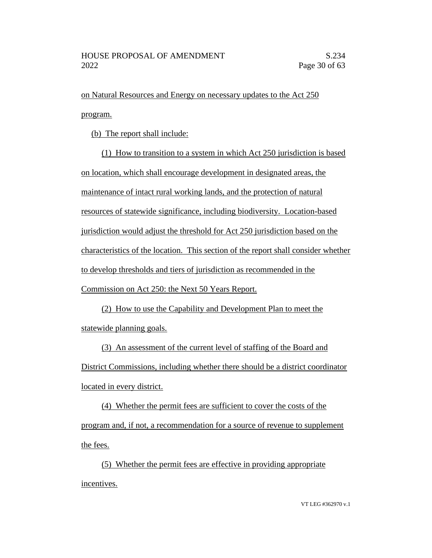on Natural Resources and Energy on necessary updates to the Act 250 program.

(b) The report shall include:

(1) How to transition to a system in which Act 250 jurisdiction is based on location, which shall encourage development in designated areas, the maintenance of intact rural working lands, and the protection of natural resources of statewide significance, including biodiversity. Location-based jurisdiction would adjust the threshold for Act 250 jurisdiction based on the characteristics of the location. This section of the report shall consider whether to develop thresholds and tiers of jurisdiction as recommended in the Commission on Act 250: the Next 50 Years Report.

(2) How to use the Capability and Development Plan to meet the statewide planning goals.

(3) An assessment of the current level of staffing of the Board and District Commissions, including whether there should be a district coordinator located in every district.

(4) Whether the permit fees are sufficient to cover the costs of the program and, if not, a recommendation for a source of revenue to supplement the fees.

(5) Whether the permit fees are effective in providing appropriate incentives.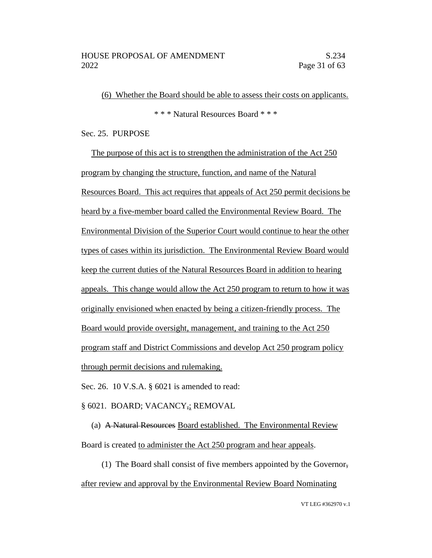(6) Whether the Board should be able to assess their costs on applicants. \* \* \* Natural Resources Board \* \* \*

Sec. 25. PURPOSE

The purpose of this act is to strengthen the administration of the Act 250 program by changing the structure, function, and name of the Natural Resources Board. This act requires that appeals of Act 250 permit decisions be heard by a five-member board called the Environmental Review Board. The Environmental Division of the Superior Court would continue to hear the other types of cases within its jurisdiction. The Environmental Review Board would keep the current duties of the Natural Resources Board in addition to hearing appeals. This change would allow the Act 250 program to return to how it was originally envisioned when enacted by being a citizen-friendly process. The Board would provide oversight, management, and training to the Act 250 program staff and District Commissions and develop Act 250 program policy through permit decisions and rulemaking.

Sec. 26. 10 V.S.A. § 6021 is amended to read:

§ 6021. BOARD; VACANCY,; REMOVAL

(a) A Natural Resources Board established. The Environmental Review Board is created to administer the Act 250 program and hear appeals.

(1) The Board shall consist of five members appointed by the Governor, after review and approval by the Environmental Review Board Nominating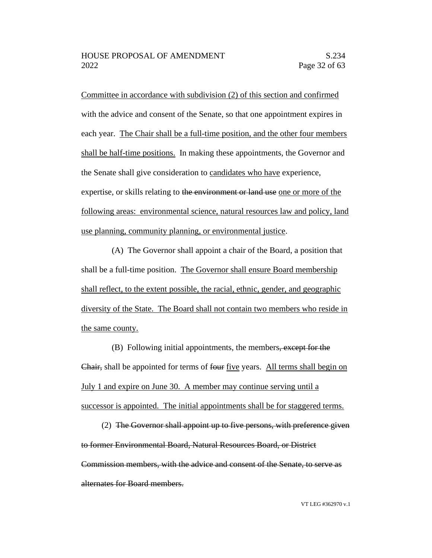Committee in accordance with subdivision (2) of this section and confirmed with the advice and consent of the Senate, so that one appointment expires in each year. The Chair shall be a full-time position, and the other four members shall be half-time positions. In making these appointments, the Governor and the Senate shall give consideration to candidates who have experience, expertise, or skills relating to the environment or land use one or more of the following areas: environmental science, natural resources law and policy, land use planning, community planning, or environmental justice.

(A) The Governor shall appoint a chair of the Board, a position that shall be a full-time position. The Governor shall ensure Board membership shall reflect, to the extent possible, the racial, ethnic, gender, and geographic diversity of the State. The Board shall not contain two members who reside in the same county.

(B) Following initial appointments, the members<del>, except for the</del> Chair, shall be appointed for terms of four five years. All terms shall begin on July 1 and expire on June 30. A member may continue serving until a successor is appointed. The initial appointments shall be for staggered terms.

(2) The Governor shall appoint up to five persons, with preference given to former Environmental Board, Natural Resources Board, or District Commission members, with the advice and consent of the Senate, to serve as alternates for Board members.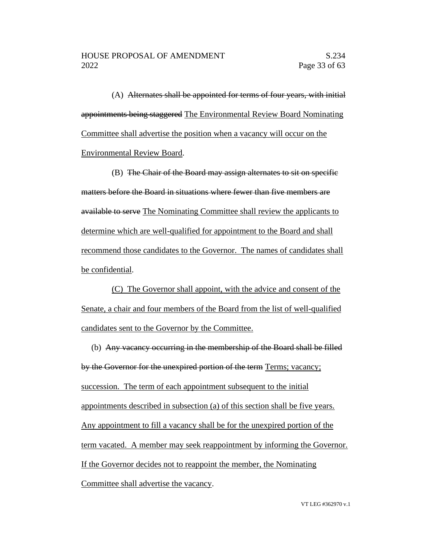(A) Alternates shall be appointed for terms of four years, with initial appointments being staggered The Environmental Review Board Nominating Committee shall advertise the position when a vacancy will occur on the Environmental Review Board.

(B) The Chair of the Board may assign alternates to sit on specific matters before the Board in situations where fewer than five members are available to serve The Nominating Committee shall review the applicants to determine which are well-qualified for appointment to the Board and shall recommend those candidates to the Governor. The names of candidates shall be confidential.

(C) The Governor shall appoint, with the advice and consent of the Senate, a chair and four members of the Board from the list of well-qualified candidates sent to the Governor by the Committee.

(b) Any vacancy occurring in the membership of the Board shall be filled by the Governor for the unexpired portion of the term Terms; vacancy; succession. The term of each appointment subsequent to the initial appointments described in subsection (a) of this section shall be five years. Any appointment to fill a vacancy shall be for the unexpired portion of the term vacated. A member may seek reappointment by informing the Governor. If the Governor decides not to reappoint the member, the Nominating Committee shall advertise the vacancy.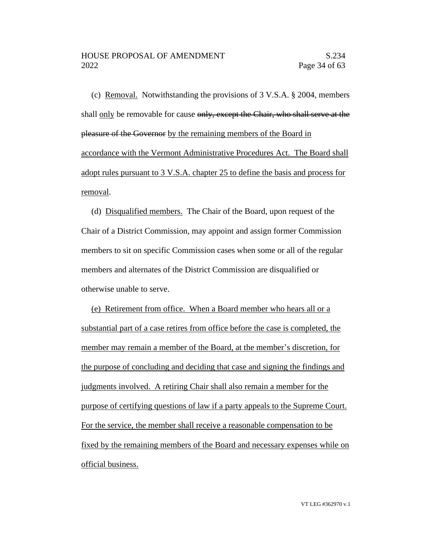(c) Removal. Notwithstanding the provisions of 3 V.S.A. § 2004, members shall only be removable for cause only, except the Chair, who shall serve at the pleasure of the Governor by the remaining members of the Board in accordance with the Vermont Administrative Procedures Act. The Board shall adopt rules pursuant to 3 V.S.A. chapter 25 to define the basis and process for removal.

(d) Disqualified members. The Chair of the Board, upon request of the Chair of a District Commission, may appoint and assign former Commission members to sit on specific Commission cases when some or all of the regular members and alternates of the District Commission are disqualified or otherwise unable to serve.

(e) Retirement from office. When a Board member who hears all or a substantial part of a case retires from office before the case is completed, the member may remain a member of the Board, at the member's discretion, for the purpose of concluding and deciding that case and signing the findings and judgments involved. A retiring Chair shall also remain a member for the purpose of certifying questions of law if a party appeals to the Supreme Court. For the service, the member shall receive a reasonable compensation to be fixed by the remaining members of the Board and necessary expenses while on official business.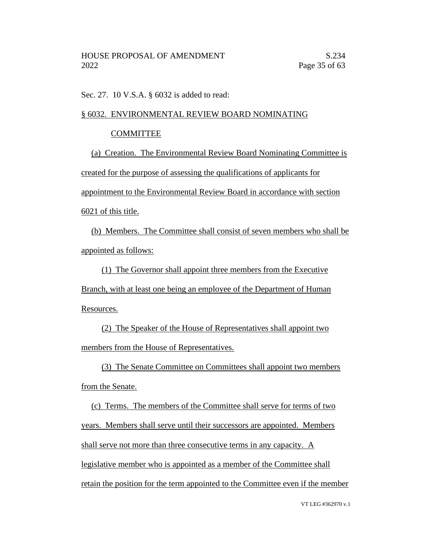Sec. 27. 10 V.S.A. § 6032 is added to read:

## § 6032. ENVIRONMENTAL REVIEW BOARD NOMINATING

### COMMITTEE

(a) Creation. The Environmental Review Board Nominating Committee is created for the purpose of assessing the qualifications of applicants for appointment to the Environmental Review Board in accordance with section 6021 of this title.

(b) Members. The Committee shall consist of seven members who shall be appointed as follows:

(1) The Governor shall appoint three members from the Executive Branch, with at least one being an employee of the Department of Human Resources.

(2) The Speaker of the House of Representatives shall appoint two members from the House of Representatives.

(3) The Senate Committee on Committees shall appoint two members from the Senate.

(c) Terms. The members of the Committee shall serve for terms of two years. Members shall serve until their successors are appointed. Members shall serve not more than three consecutive terms in any capacity. A legislative member who is appointed as a member of the Committee shall retain the position for the term appointed to the Committee even if the member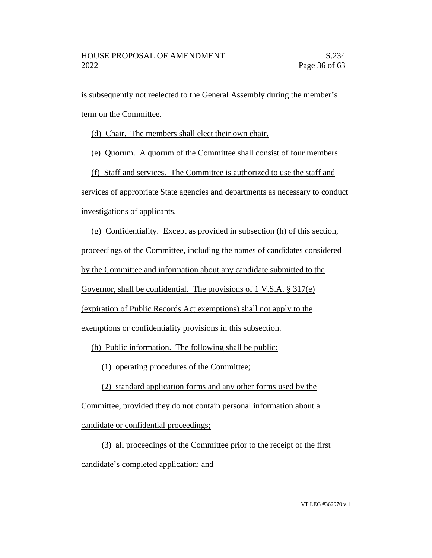is subsequently not reelected to the General Assembly during the member's term on the Committee.

(d) Chair. The members shall elect their own chair.

(e) Quorum. A quorum of the Committee shall consist of four members.

(f) Staff and services. The Committee is authorized to use the staff and services of appropriate State agencies and departments as necessary to conduct

investigations of applicants.

(g) Confidentiality. Except as provided in subsection (h) of this section,

proceedings of the Committee, including the names of candidates considered

by the Committee and information about any candidate submitted to the

Governor, shall be confidential. The provisions of 1 V.S.A. § 317(e)

(expiration of Public Records Act exemptions) shall not apply to the

exemptions or confidentiality provisions in this subsection.

(h) Public information. The following shall be public:

(1) operating procedures of the Committee;

(2) standard application forms and any other forms used by the

Committee, provided they do not contain personal information about a candidate or confidential proceedings;

(3) all proceedings of the Committee prior to the receipt of the first candidate's completed application; and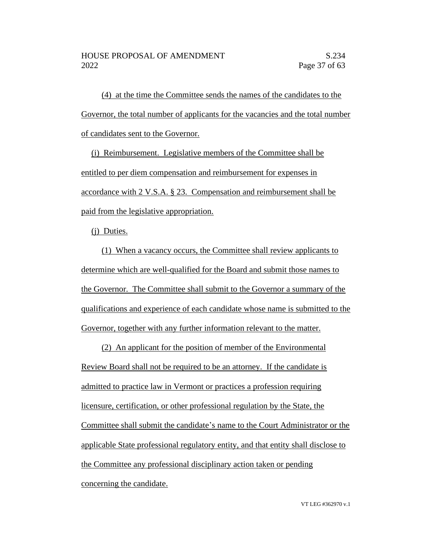(4) at the time the Committee sends the names of the candidates to the Governor, the total number of applicants for the vacancies and the total number of candidates sent to the Governor.

(i) Reimbursement. Legislative members of the Committee shall be entitled to per diem compensation and reimbursement for expenses in accordance with 2 V.S.A. § 23. Compensation and reimbursement shall be paid from the legislative appropriation.

(j) Duties.

(1) When a vacancy occurs, the Committee shall review applicants to determine which are well-qualified for the Board and submit those names to the Governor. The Committee shall submit to the Governor a summary of the qualifications and experience of each candidate whose name is submitted to the Governor, together with any further information relevant to the matter.

(2) An applicant for the position of member of the Environmental Review Board shall not be required to be an attorney. If the candidate is admitted to practice law in Vermont or practices a profession requiring licensure, certification, or other professional regulation by the State, the Committee shall submit the candidate's name to the Court Administrator or the applicable State professional regulatory entity, and that entity shall disclose to the Committee any professional disciplinary action taken or pending concerning the candidate.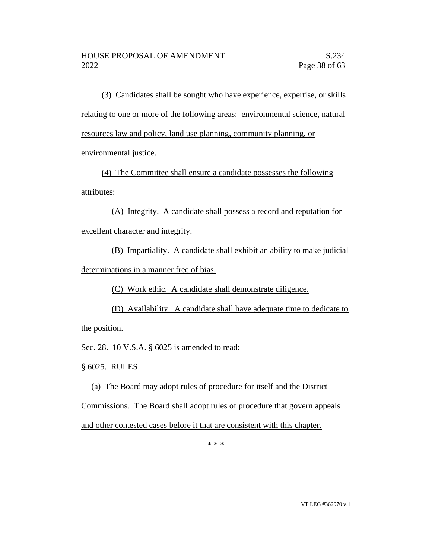(3) Candidates shall be sought who have experience, expertise, or skills relating to one or more of the following areas: environmental science, natural resources law and policy, land use planning, community planning, or environmental justice.

(4) The Committee shall ensure a candidate possesses the following attributes:

(A) Integrity. A candidate shall possess a record and reputation for excellent character and integrity.

(B) Impartiality. A candidate shall exhibit an ability to make judicial determinations in a manner free of bias.

(C) Work ethic. A candidate shall demonstrate diligence.

(D) Availability. A candidate shall have adequate time to dedicate to the position.

Sec. 28. 10 V.S.A. § 6025 is amended to read:

§ 6025. RULES

(a) The Board may adopt rules of procedure for itself and the District

Commissions. The Board shall adopt rules of procedure that govern appeals and other contested cases before it that are consistent with this chapter.

\* \* \*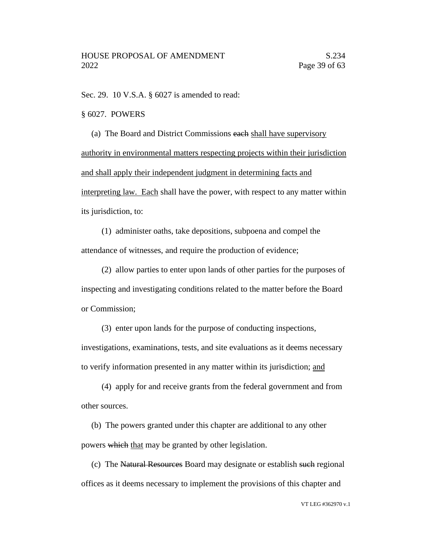Sec. 29. 10 V.S.A. § 6027 is amended to read:

§ 6027. POWERS

(a) The Board and District Commissions each shall have supervisory authority in environmental matters respecting projects within their jurisdiction and shall apply their independent judgment in determining facts and interpreting law. Each shall have the power, with respect to any matter within its jurisdiction, to:

(1) administer oaths, take depositions, subpoena and compel the attendance of witnesses, and require the production of evidence;

(2) allow parties to enter upon lands of other parties for the purposes of inspecting and investigating conditions related to the matter before the Board or Commission;

(3) enter upon lands for the purpose of conducting inspections, investigations, examinations, tests, and site evaluations as it deems necessary to verify information presented in any matter within its jurisdiction; and

(4) apply for and receive grants from the federal government and from other sources.

(b) The powers granted under this chapter are additional to any other powers which that may be granted by other legislation.

(c) The Natural Resources Board may designate or establish such regional offices as it deems necessary to implement the provisions of this chapter and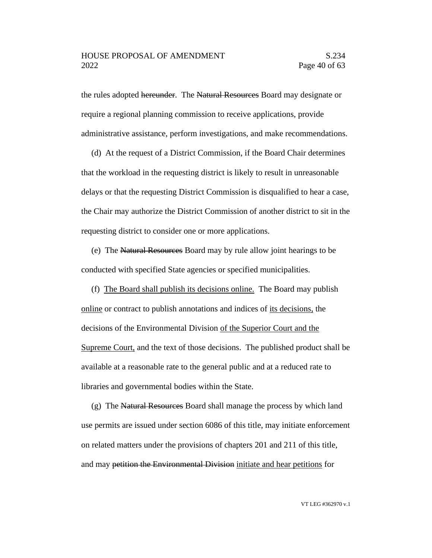the rules adopted hereunder. The Natural Resources Board may designate or require a regional planning commission to receive applications, provide administrative assistance, perform investigations, and make recommendations.

(d) At the request of a District Commission, if the Board Chair determines that the workload in the requesting district is likely to result in unreasonable delays or that the requesting District Commission is disqualified to hear a case, the Chair may authorize the District Commission of another district to sit in the requesting district to consider one or more applications.

(e) The Natural Resources Board may by rule allow joint hearings to be conducted with specified State agencies or specified municipalities.

(f) The Board shall publish its decisions online. The Board may publish online or contract to publish annotations and indices of its decisions, the decisions of the Environmental Division of the Superior Court and the Supreme Court, and the text of those decisions. The published product shall be available at a reasonable rate to the general public and at a reduced rate to libraries and governmental bodies within the State.

(g) The Natural Resources Board shall manage the process by which land use permits are issued under section 6086 of this title, may initiate enforcement on related matters under the provisions of chapters 201 and 211 of this title, and may petition the Environmental Division initiate and hear petitions for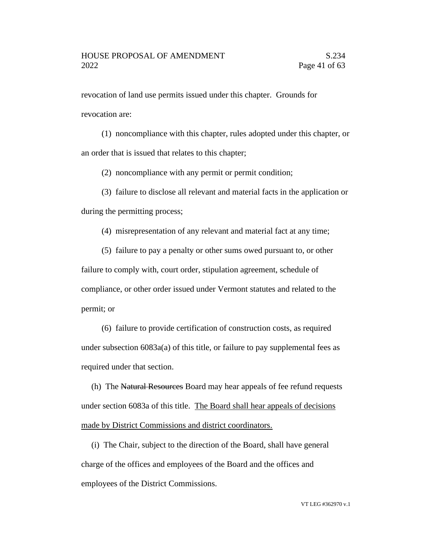revocation of land use permits issued under this chapter. Grounds for revocation are:

(1) noncompliance with this chapter, rules adopted under this chapter, or an order that is issued that relates to this chapter;

(2) noncompliance with any permit or permit condition;

(3) failure to disclose all relevant and material facts in the application or during the permitting process;

(4) misrepresentation of any relevant and material fact at any time;

(5) failure to pay a penalty or other sums owed pursuant to, or other failure to comply with, court order, stipulation agreement, schedule of compliance, or other order issued under Vermont statutes and related to the permit; or

(6) failure to provide certification of construction costs, as required under subsection 6083a(a) of this title, or failure to pay supplemental fees as required under that section.

(h) The Natural Resources Board may hear appeals of fee refund requests under section 6083a of this title. The Board shall hear appeals of decisions made by District Commissions and district coordinators.

(i) The Chair, subject to the direction of the Board, shall have general charge of the offices and employees of the Board and the offices and employees of the District Commissions.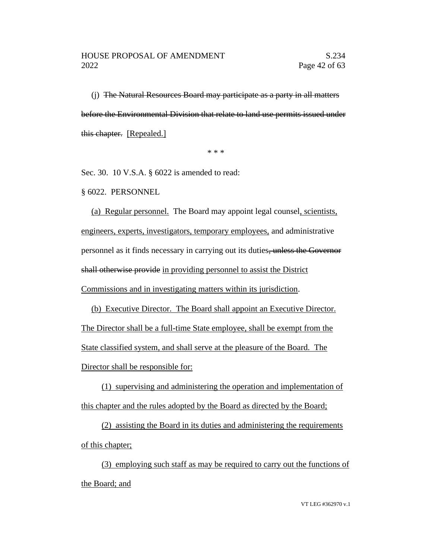(j) The Natural Resources Board may participate as a party in all matters before the Environmental Division that relate to land use permits issued under this chapter. [Repealed.]

\* \* \*

Sec. 30. 10 V.S.A. § 6022 is amended to read:

§ 6022. PERSONNEL

(a) Regular personnel. The Board may appoint legal counsel, scientists, engineers, experts, investigators, temporary employees, and administrative personnel as it finds necessary in carrying out its duties, unless the Governor shall otherwise provide in providing personnel to assist the District Commissions and in investigating matters within its jurisdiction.

(b) Executive Director. The Board shall appoint an Executive Director. The Director shall be a full-time State employee, shall be exempt from the State classified system, and shall serve at the pleasure of the Board. The Director shall be responsible for:

(1) supervising and administering the operation and implementation of this chapter and the rules adopted by the Board as directed by the Board;

(2) assisting the Board in its duties and administering the requirements of this chapter;

(3) employing such staff as may be required to carry out the functions of the Board; and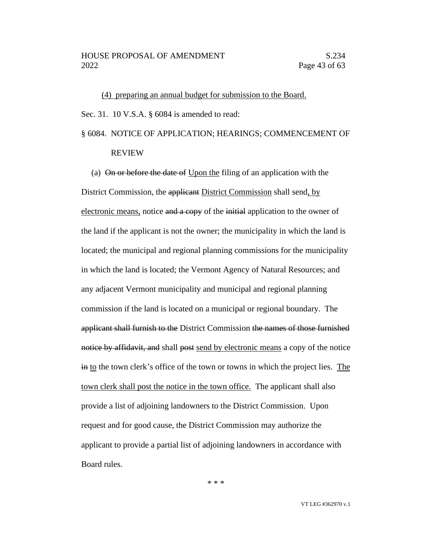(4) preparing an annual budget for submission to the Board. Sec. 31. 10 V.S.A. § 6084 is amended to read: § 6084. NOTICE OF APPLICATION; HEARINGS; COMMENCEMENT OF REVIEW

(a)  $\Theta$  in or before the date of Upon the filing of an application with the District Commission, the applicant District Commission shall send, by electronic means, notice and a copy of the initial application to the owner of the land if the applicant is not the owner; the municipality in which the land is located; the municipal and regional planning commissions for the municipality in which the land is located; the Vermont Agency of Natural Resources; and any adjacent Vermont municipality and municipal and regional planning commission if the land is located on a municipal or regional boundary. The applicant shall furnish to the District Commission the names of those furnished notice by affidavit, and shall post send by electronic means a copy of the notice in to the town clerk's office of the town or towns in which the project lies. The town clerk shall post the notice in the town office. The applicant shall also provide a list of adjoining landowners to the District Commission. Upon request and for good cause, the District Commission may authorize the applicant to provide a partial list of adjoining landowners in accordance with Board rules.

\* \* \*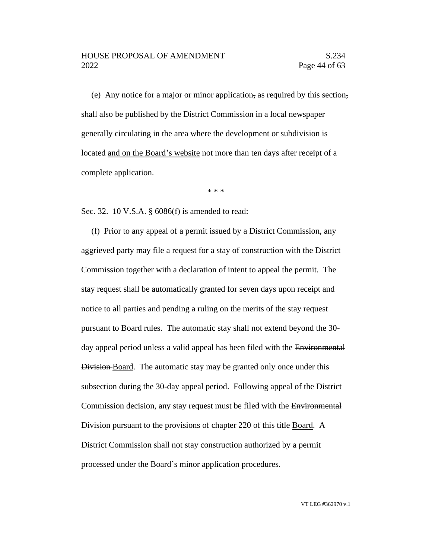# HOUSE PROPOSAL OF AMENDMENT S.234 2022 Page 44 of 63

(e) Any notice for a major or minor application, as required by this section, shall also be published by the District Commission in a local newspaper generally circulating in the area where the development or subdivision is located and on the Board's website not more than ten days after receipt of a complete application.

\* \* \*

Sec. 32. 10 V.S.A. § 6086(f) is amended to read:

(f) Prior to any appeal of a permit issued by a District Commission, any aggrieved party may file a request for a stay of construction with the District Commission together with a declaration of intent to appeal the permit. The stay request shall be automatically granted for seven days upon receipt and notice to all parties and pending a ruling on the merits of the stay request pursuant to Board rules. The automatic stay shall not extend beyond the 30 day appeal period unless a valid appeal has been filed with the Environmental Division Board. The automatic stay may be granted only once under this subsection during the 30-day appeal period. Following appeal of the District Commission decision, any stay request must be filed with the Environmental Division pursuant to the provisions of chapter 220 of this title Board. A District Commission shall not stay construction authorized by a permit processed under the Board's minor application procedures.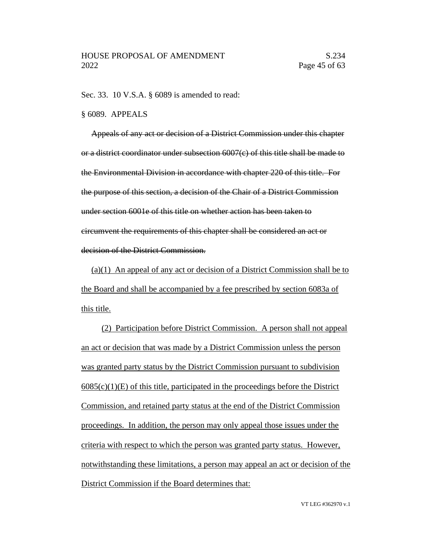Sec. 33. 10 V.S.A. § 6089 is amended to read:

#### § 6089. APPEALS

Appeals of any act or decision of a District Commission under this chapter or a district coordinator under subsection 6007(c) of this title shall be made to the Environmental Division in accordance with chapter 220 of this title. For the purpose of this section, a decision of the Chair of a District Commission under section 6001e of this title on whether action has been taken to circumvent the requirements of this chapter shall be considered an act or decision of the District Commission.

(a)(1) An appeal of any act or decision of a District Commission shall be to the Board and shall be accompanied by a fee prescribed by section 6083a of this title.

(2) Participation before District Commission. A person shall not appeal an act or decision that was made by a District Commission unless the person was granted party status by the District Commission pursuant to subdivision  $6085(c)(1)(E)$  of this title, participated in the proceedings before the District Commission, and retained party status at the end of the District Commission proceedings. In addition, the person may only appeal those issues under the criteria with respect to which the person was granted party status. However, notwithstanding these limitations, a person may appeal an act or decision of the District Commission if the Board determines that: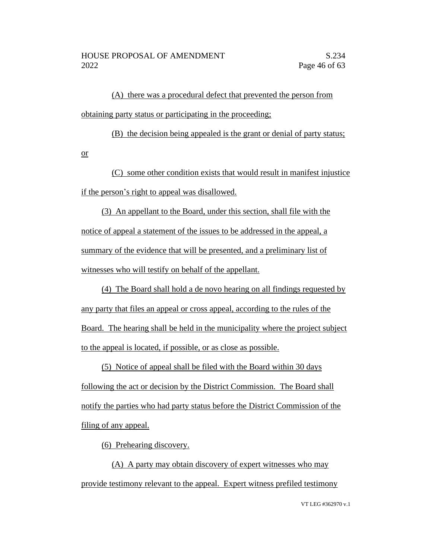(A) there was a procedural defect that prevented the person from obtaining party status or participating in the proceeding;

(B) the decision being appealed is the grant or denial of party status; or

(C) some other condition exists that would result in manifest injustice if the person's right to appeal was disallowed.

(3) An appellant to the Board, under this section, shall file with the notice of appeal a statement of the issues to be addressed in the appeal, a summary of the evidence that will be presented, and a preliminary list of witnesses who will testify on behalf of the appellant.

(4) The Board shall hold a de novo hearing on all findings requested by any party that files an appeal or cross appeal, according to the rules of the Board. The hearing shall be held in the municipality where the project subject to the appeal is located, if possible, or as close as possible.

(5) Notice of appeal shall be filed with the Board within 30 days following the act or decision by the District Commission. The Board shall notify the parties who had party status before the District Commission of the filing of any appeal.

(6) Prehearing discovery.

(A) A party may obtain discovery of expert witnesses who may provide testimony relevant to the appeal. Expert witness prefiled testimony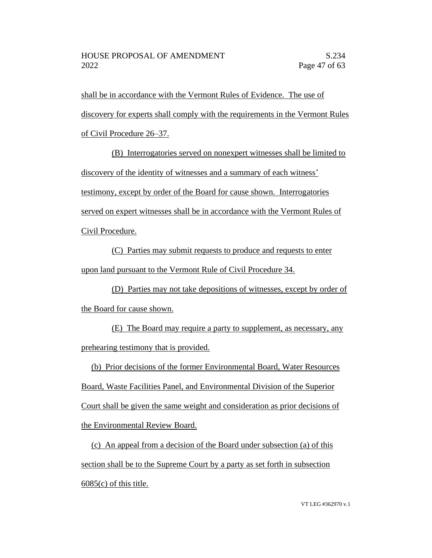shall be in accordance with the Vermont Rules of Evidence. The use of discovery for experts shall comply with the requirements in the Vermont Rules of Civil Procedure 26–37.

(B) Interrogatories served on nonexpert witnesses shall be limited to discovery of the identity of witnesses and a summary of each witness' testimony, except by order of the Board for cause shown. Interrogatories served on expert witnesses shall be in accordance with the Vermont Rules of Civil Procedure.

(C) Parties may submit requests to produce and requests to enter upon land pursuant to the Vermont Rule of Civil Procedure 34.

(D) Parties may not take depositions of witnesses, except by order of the Board for cause shown.

(E) The Board may require a party to supplement, as necessary, any prehearing testimony that is provided.

(b) Prior decisions of the former Environmental Board, Water Resources Board, Waste Facilities Panel, and Environmental Division of the Superior Court shall be given the same weight and consideration as prior decisions of the Environmental Review Board.

(c) An appeal from a decision of the Board under subsection (a) of this section shall be to the Supreme Court by a party as set forth in subsection  $6085(c)$  of this title.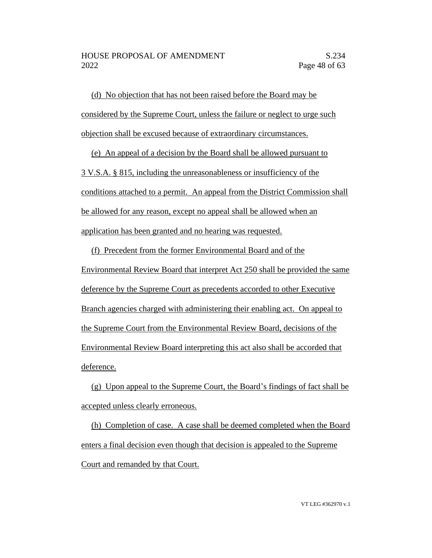(d) No objection that has not been raised before the Board may be considered by the Supreme Court, unless the failure or neglect to urge such objection shall be excused because of extraordinary circumstances.

(e) An appeal of a decision by the Board shall be allowed pursuant to 3 V.S.A. § 815, including the unreasonableness or insufficiency of the conditions attached to a permit. An appeal from the District Commission shall be allowed for any reason, except no appeal shall be allowed when an application has been granted and no hearing was requested.

(f) Precedent from the former Environmental Board and of the Environmental Review Board that interpret Act 250 shall be provided the same deference by the Supreme Court as precedents accorded to other Executive Branch agencies charged with administering their enabling act. On appeal to the Supreme Court from the Environmental Review Board, decisions of the Environmental Review Board interpreting this act also shall be accorded that deference.

(g) Upon appeal to the Supreme Court, the Board's findings of fact shall be accepted unless clearly erroneous.

(h) Completion of case. A case shall be deemed completed when the Board enters a final decision even though that decision is appealed to the Supreme Court and remanded by that Court.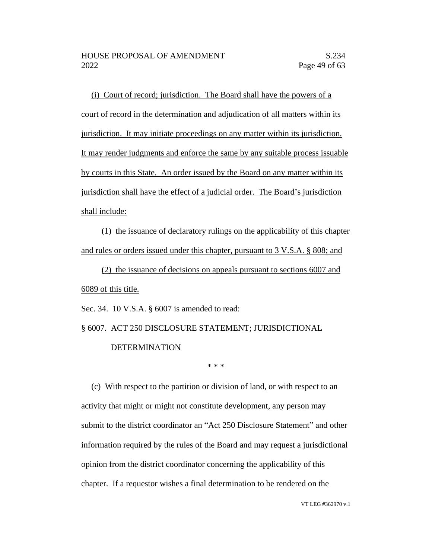(i) Court of record; jurisdiction. The Board shall have the powers of a court of record in the determination and adjudication of all matters within its jurisdiction. It may initiate proceedings on any matter within its jurisdiction. It may render judgments and enforce the same by any suitable process issuable by courts in this State. An order issued by the Board on any matter within its jurisdiction shall have the effect of a judicial order. The Board's jurisdiction shall include:

(1) the issuance of declaratory rulings on the applicability of this chapter and rules or orders issued under this chapter, pursuant to 3 V.S.A. § 808; and

(2) the issuance of decisions on appeals pursuant to sections 6007 and 6089 of this title.

Sec. 34. 10 V.S.A. § 6007 is amended to read:

§ 6007. ACT 250 DISCLOSURE STATEMENT; JURISDICTIONAL DETERMINATION

\* \* \*

(c) With respect to the partition or division of land, or with respect to an activity that might or might not constitute development, any person may submit to the district coordinator an "Act 250 Disclosure Statement" and other information required by the rules of the Board and may request a jurisdictional opinion from the district coordinator concerning the applicability of this chapter. If a requestor wishes a final determination to be rendered on the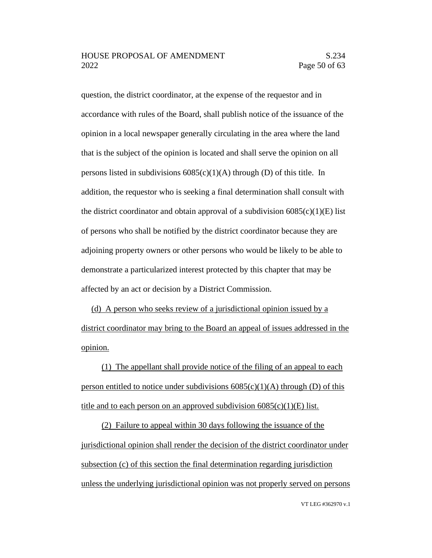# HOUSE PROPOSAL OF AMENDMENT S.234 2022 Page 50 of 63

question, the district coordinator, at the expense of the requestor and in accordance with rules of the Board, shall publish notice of the issuance of the opinion in a local newspaper generally circulating in the area where the land that is the subject of the opinion is located and shall serve the opinion on all persons listed in subdivisions  $6085(c)(1)(A)$  through (D) of this title. In addition, the requestor who is seeking a final determination shall consult with the district coordinator and obtain approval of a subdivision  $6085(c)(1)(E)$  list of persons who shall be notified by the district coordinator because they are adjoining property owners or other persons who would be likely to be able to demonstrate a particularized interest protected by this chapter that may be affected by an act or decision by a District Commission.

(d) A person who seeks review of a jurisdictional opinion issued by a district coordinator may bring to the Board an appeal of issues addressed in the opinion.

(1) The appellant shall provide notice of the filing of an appeal to each person entitled to notice under subdivisions  $6085(c)(1)(A)$  through (D) of this title and to each person on an approved subdivision  $6085(c)(1)(E)$  list.

(2) Failure to appeal within 30 days following the issuance of the jurisdictional opinion shall render the decision of the district coordinator under subsection (c) of this section the final determination regarding jurisdiction unless the underlying jurisdictional opinion was not properly served on persons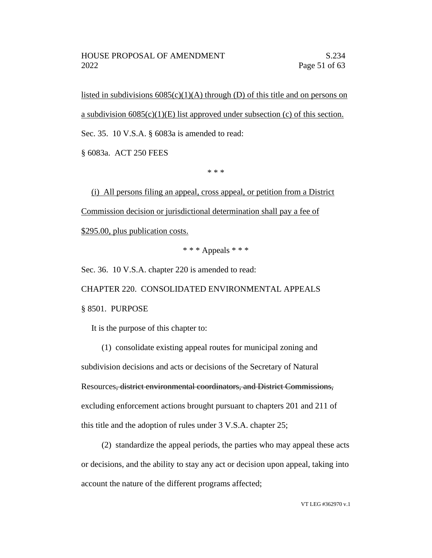listed in subdivisions  $6085(c)(1)(A)$  through (D) of this title and on persons on a subdivision  $6085(c)(1)(E)$  list approved under subsection (c) of this section. Sec. 35. 10 V.S.A. § 6083a is amended to read:

§ 6083a. ACT 250 FEES

\* \* \*

(i) All persons filing an appeal, cross appeal, or petition from a District Commission decision or jurisdictional determination shall pay a fee of \$295.00, plus publication costs.

 $***$  Appeals  $***$ 

Sec. 36. 10 V.S.A. chapter 220 is amended to read:

CHAPTER 220. CONSOLIDATED ENVIRONMENTAL APPEALS § 8501. PURPOSE

It is the purpose of this chapter to:

(1) consolidate existing appeal routes for municipal zoning and subdivision decisions and acts or decisions of the Secretary of Natural Resources, district environmental coordinators, and District Commissions, excluding enforcement actions brought pursuant to chapters 201 and 211 of this title and the adoption of rules under 3 V.S.A. chapter 25;

(2) standardize the appeal periods, the parties who may appeal these acts or decisions, and the ability to stay any act or decision upon appeal, taking into account the nature of the different programs affected;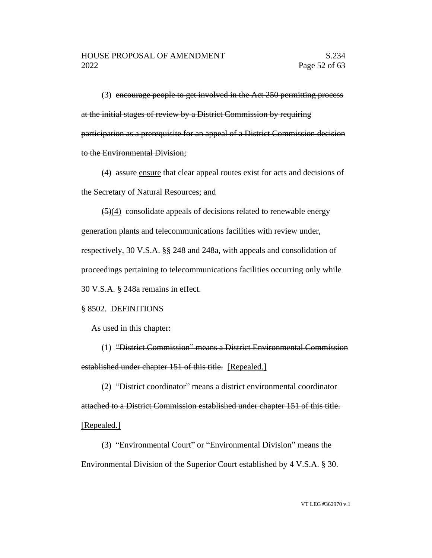(3) encourage people to get involved in the Act 250 permitting process at the initial stages of review by a District Commission by requiring participation as a prerequisite for an appeal of a District Commission decision to the Environmental Division;

(4) assure ensure that clear appeal routes exist for acts and decisions of the Secretary of Natural Resources; and

 $\left(5\right)(4)$  consolidate appeals of decisions related to renewable energy generation plants and telecommunications facilities with review under, respectively, 30 V.S.A. §§ 248 and 248a, with appeals and consolidation of proceedings pertaining to telecommunications facilities occurring only while 30 V.S.A. § 248a remains in effect.

#### § 8502. DEFINITIONS

As used in this chapter:

(1) "District Commission" means a District Environmental Commission established under chapter 151 of this title. [Repealed.]

(2) "District coordinator" means a district environmental coordinator attached to a District Commission established under chapter 151 of this title. [Repealed.]

(3) "Environmental Court" or "Environmental Division" means the Environmental Division of the Superior Court established by 4 V.S.A. § 30.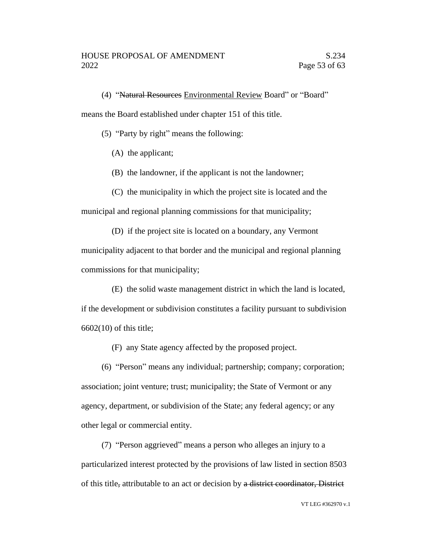(4) "Natural Resources Environmental Review Board" or "Board"

means the Board established under chapter 151 of this title.

(5) "Party by right" means the following:

(A) the applicant;

(B) the landowner, if the applicant is not the landowner;

(C) the municipality in which the project site is located and the municipal and regional planning commissions for that municipality;

(D) if the project site is located on a boundary, any Vermont municipality adjacent to that border and the municipal and regional planning commissions for that municipality;

(E) the solid waste management district in which the land is located, if the development or subdivision constitutes a facility pursuant to subdivision

6602(10) of this title;

(F) any State agency affected by the proposed project.

(6) "Person" means any individual; partnership; company; corporation; association; joint venture; trust; municipality; the State of Vermont or any agency, department, or subdivision of the State; any federal agency; or any other legal or commercial entity.

(7) "Person aggrieved" means a person who alleges an injury to a particularized interest protected by the provisions of law listed in section 8503 of this title, attributable to an act or decision by a district coordinator, District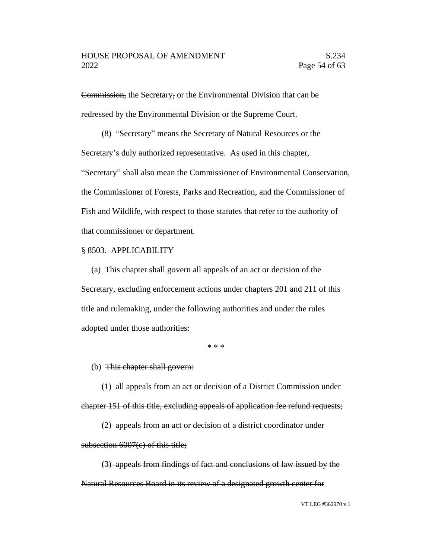Commission, the Secretary, or the Environmental Division that can be redressed by the Environmental Division or the Supreme Court.

(8) "Secretary" means the Secretary of Natural Resources or the Secretary's duly authorized representative. As used in this chapter, "Secretary" shall also mean the Commissioner of Environmental Conservation, the Commissioner of Forests, Parks and Recreation, and the Commissioner of Fish and Wildlife, with respect to those statutes that refer to the authority of that commissioner or department.

### § 8503. APPLICABILITY

(a) This chapter shall govern all appeals of an act or decision of the Secretary, excluding enforcement actions under chapters 201 and 211 of this title and rulemaking, under the following authorities and under the rules adopted under those authorities:

\* \* \*

# (b) This chapter shall govern:

(1) all appeals from an act or decision of a District Commission under chapter 151 of this title, excluding appeals of application fee refund requests;

(2) appeals from an act or decision of a district coordinator under subsection 6007(c) of this title;

(3) appeals from findings of fact and conclusions of law issued by the Natural Resources Board in its review of a designated growth center for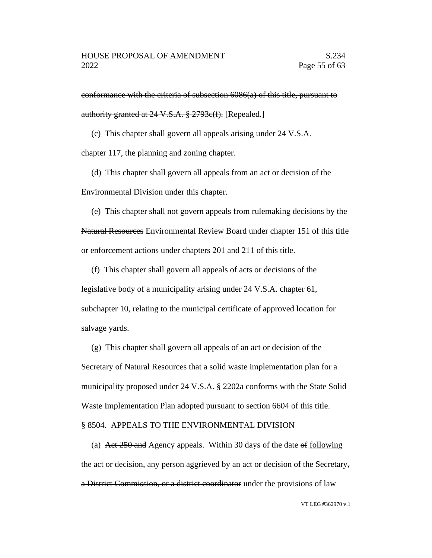conformance with the criteria of subsection 6086(a) of this title, pursuant to authority granted at 24 V.S.A. § 2793c(f). [Repealed.]

(c) This chapter shall govern all appeals arising under 24 V.S.A.

chapter 117, the planning and zoning chapter.

(d) This chapter shall govern all appeals from an act or decision of the Environmental Division under this chapter.

(e) This chapter shall not govern appeals from rulemaking decisions by the Natural Resources Environmental Review Board under chapter 151 of this title or enforcement actions under chapters 201 and 211 of this title.

(f) This chapter shall govern all appeals of acts or decisions of the legislative body of a municipality arising under 24 V.S.A. chapter 61, subchapter 10, relating to the municipal certificate of approved location for salvage yards.

(g) This chapter shall govern all appeals of an act or decision of the Secretary of Natural Resources that a solid waste implementation plan for a municipality proposed under 24 V.S.A. § 2202a conforms with the State Solid Waste Implementation Plan adopted pursuant to section 6604 of this title.

#### § 8504. APPEALS TO THE ENVIRONMENTAL DIVISION

(a) Act 250 and Agency appeals. Within 30 days of the date of following the act or decision, any person aggrieved by an act or decision of the Secretary, a District Commission, or a district coordinator under the provisions of law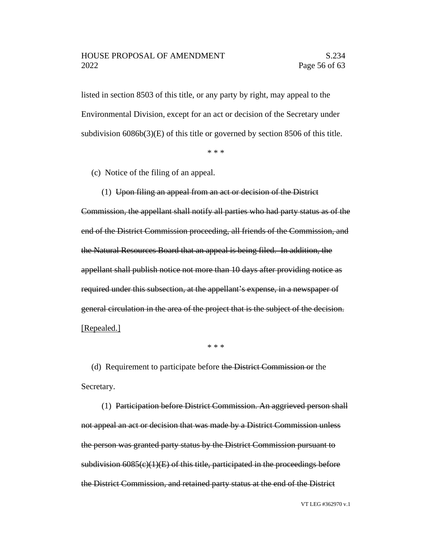listed in section 8503 of this title, or any party by right, may appeal to the Environmental Division, except for an act or decision of the Secretary under subdivision 6086b(3)(E) of this title or governed by section 8506 of this title.

\* \* \*

(c) Notice of the filing of an appeal.

(1) Upon filing an appeal from an act or decision of the District Commission, the appellant shall notify all parties who had party status as of the end of the District Commission proceeding, all friends of the Commission, and the Natural Resources Board that an appeal is being filed. In addition, the appellant shall publish notice not more than 10 days after providing notice as required under this subsection, at the appellant's expense, in a newspaper of general circulation in the area of the project that is the subject of the decision. [Repealed.]

\* \* \*

(d) Requirement to participate before the District Commission or the Secretary.

(1) Participation before District Commission. An aggrieved person shall not appeal an act or decision that was made by a District Commission unless the person was granted party status by the District Commission pursuant to subdivision  $6085(c)(1)(E)$  of this title, participated in the proceedings before the District Commission, and retained party status at the end of the District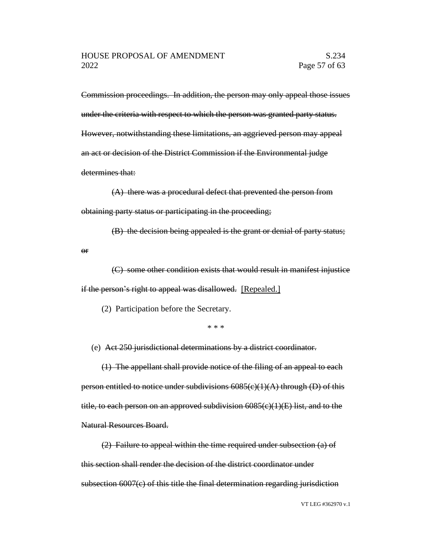Commission proceedings. In addition, the person may only appeal those issues under the criteria with respect to which the person was granted party status. However, notwithstanding these limitations, an aggrieved person may appeal an act or decision of the District Commission if the Environmental judge determines that:

(A) there was a procedural defect that prevented the person from obtaining party status or participating in the proceeding;

(B) the decision being appealed is the grant or denial of party status;

(C) some other condition exists that would result in manifest injustice if the person's right to appeal was disallowed. [Repealed.]

(2) Participation before the Secretary.

or

\* \* \*

(e) Act 250 jurisdictional determinations by a district coordinator.

(1) The appellant shall provide notice of the filing of an appeal to each person entitled to notice under subdivisions  $6085(c)(1)(A)$  through (D) of this title, to each person on an approved subdivision  $6085(c)(1)(E)$  list, and to the Natural Resources Board.

(2) Failure to appeal within the time required under subsection (a) of this section shall render the decision of the district coordinator under subsection 6007(c) of this title the final determination regarding jurisdiction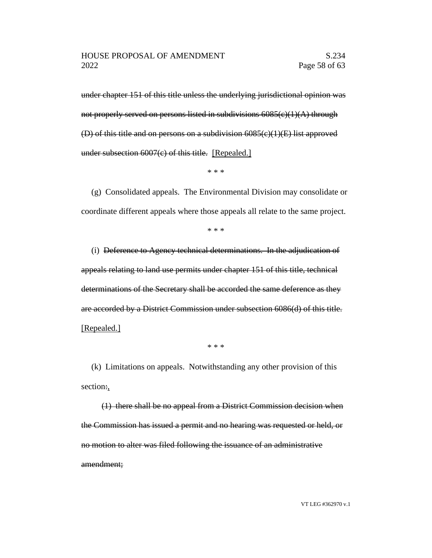under chapter 151 of this title unless the underlying jurisdictional opinion was not properly served on persons listed in subdivisions  $6085(c)(1)(A)$  through (D) of this title and on persons on a subdivision 6085(c)(1)(E) list approved under subsection 6007(c) of this title. [Repealed.]

\* \* \*

(g) Consolidated appeals. The Environmental Division may consolidate or coordinate different appeals where those appeals all relate to the same project.

\* \* \*

(i) Deference to Agency technical determinations. In the adjudication of appeals relating to land use permits under chapter 151 of this title, technical determinations of the Secretary shall be accorded the same deference as they are accorded by a District Commission under subsection 6086(d) of this title. [Repealed.]

\* \* \*

(k) Limitations on appeals. Notwithstanding any other provision of this section:,

(1) there shall be no appeal from a District Commission decision when the Commission has issued a permit and no hearing was requested or held, or no motion to alter was filed following the issuance of an administrative amendment;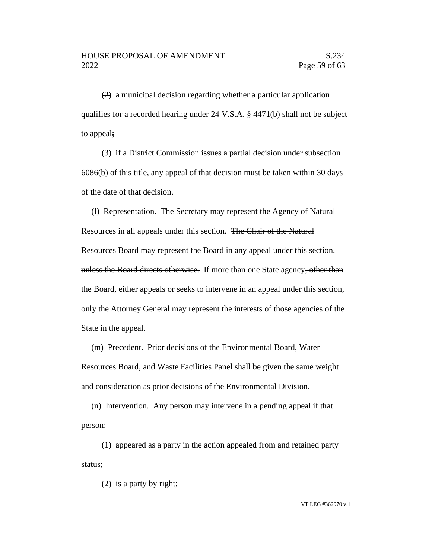(2) a municipal decision regarding whether a particular application qualifies for a recorded hearing under 24 V.S.A. § 4471(b) shall not be subject to appeal;

(3) if a District Commission issues a partial decision under subsection 6086(b) of this title, any appeal of that decision must be taken within 30 days of the date of that decision.

(l) Representation. The Secretary may represent the Agency of Natural Resources in all appeals under this section. The Chair of the Natural Resources Board may represent the Board in any appeal under this section, unless the Board directs otherwise. If more than one State agency, other than the Board, either appeals or seeks to intervene in an appeal under this section, only the Attorney General may represent the interests of those agencies of the State in the appeal.

(m) Precedent. Prior decisions of the Environmental Board, Water Resources Board, and Waste Facilities Panel shall be given the same weight and consideration as prior decisions of the Environmental Division.

(n) Intervention. Any person may intervene in a pending appeal if that person:

(1) appeared as a party in the action appealed from and retained party status;

(2) is a party by right;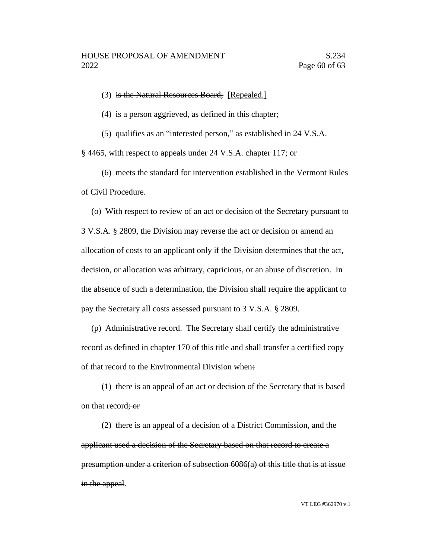(3) is the Natural Resources Board; [Repealed.]

(4) is a person aggrieved, as defined in this chapter;

(5) qualifies as an "interested person," as established in 24 V.S.A.

§ 4465, with respect to appeals under 24 V.S.A. chapter 117; or

(6) meets the standard for intervention established in the Vermont Rules of Civil Procedure.

(o) With respect to review of an act or decision of the Secretary pursuant to 3 V.S.A. § 2809, the Division may reverse the act or decision or amend an allocation of costs to an applicant only if the Division determines that the act, decision, or allocation was arbitrary, capricious, or an abuse of discretion. In the absence of such a determination, the Division shall require the applicant to pay the Secretary all costs assessed pursuant to 3 V.S.A. § 2809.

(p) Administrative record. The Secretary shall certify the administrative record as defined in chapter 170 of this title and shall transfer a certified copy of that record to the Environmental Division when:

(1) there is an appeal of an act or decision of the Secretary that is based on that record; or

(2) there is an appeal of a decision of a District Commission, and the applicant used a decision of the Secretary based on that record to create a presumption under a criterion of subsection 6086(a) of this title that is at issue in the appeal.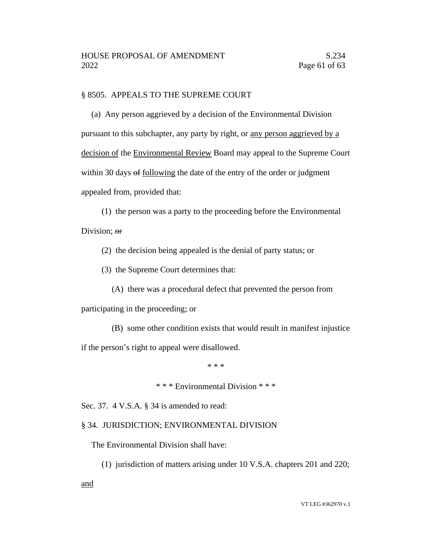# § 8505. APPEALS TO THE SUPREME COURT

(a) Any person aggrieved by a decision of the Environmental Division pursuant to this subchapter, any party by right, or any person aggrieved by a decision of the Environmental Review Board may appeal to the Supreme Court within 30 days of following the date of the entry of the order or judgment appealed from, provided that:

(1) the person was a party to the proceeding before the Environmental Division; or

(2) the decision being appealed is the denial of party status; or

(3) the Supreme Court determines that:

(A) there was a procedural defect that prevented the person from

participating in the proceeding; or

(B) some other condition exists that would result in manifest injustice

if the person's right to appeal were disallowed.

\* \* \*

\* \* \* Environmental Division \* \* \*

Sec. 37. 4 V.S.A. § 34 is amended to read:

## § 34. JURISDICTION; ENVIRONMENTAL DIVISION

The Environmental Division shall have:

(1) jurisdiction of matters arising under 10 V.S.A. chapters 201 and 220;

and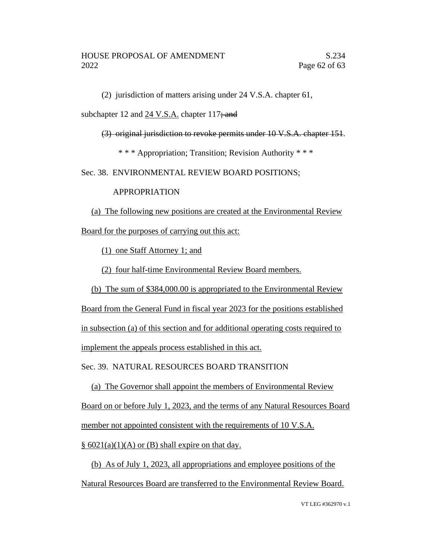(2) jurisdiction of matters arising under 24 V.S.A. chapter 61,

subchapter 12 and 24 V.S.A. chapter 117; and

(3) original jurisdiction to revoke permits under 10 V.S.A. chapter 151.

\* \* \* Appropriation; Transition; Revision Authority \* \* \*

Sec. 38. ENVIRONMENTAL REVIEW BOARD POSITIONS;

# APPROPRIATION

(a) The following new positions are created at the Environmental Review Board for the purposes of carrying out this act:

(1) one Staff Attorney 1; and

(2) four half-time Environmental Review Board members.

(b) The sum of \$384,000.00 is appropriated to the Environmental Review

Board from the General Fund in fiscal year 2023 for the positions established in subsection (a) of this section and for additional operating costs required to implement the appeals process established in this act.

Sec. 39. NATURAL RESOURCES BOARD TRANSITION

(a) The Governor shall appoint the members of Environmental Review Board on or before July 1, 2023, and the terms of any Natural Resources Board member not appointed consistent with the requirements of 10 V.S.A.  $§ 6021(a)(1)(A)$  or (B) shall expire on that day.

(b) As of July 1, 2023, all appropriations and employee positions of the Natural Resources Board are transferred to the Environmental Review Board.